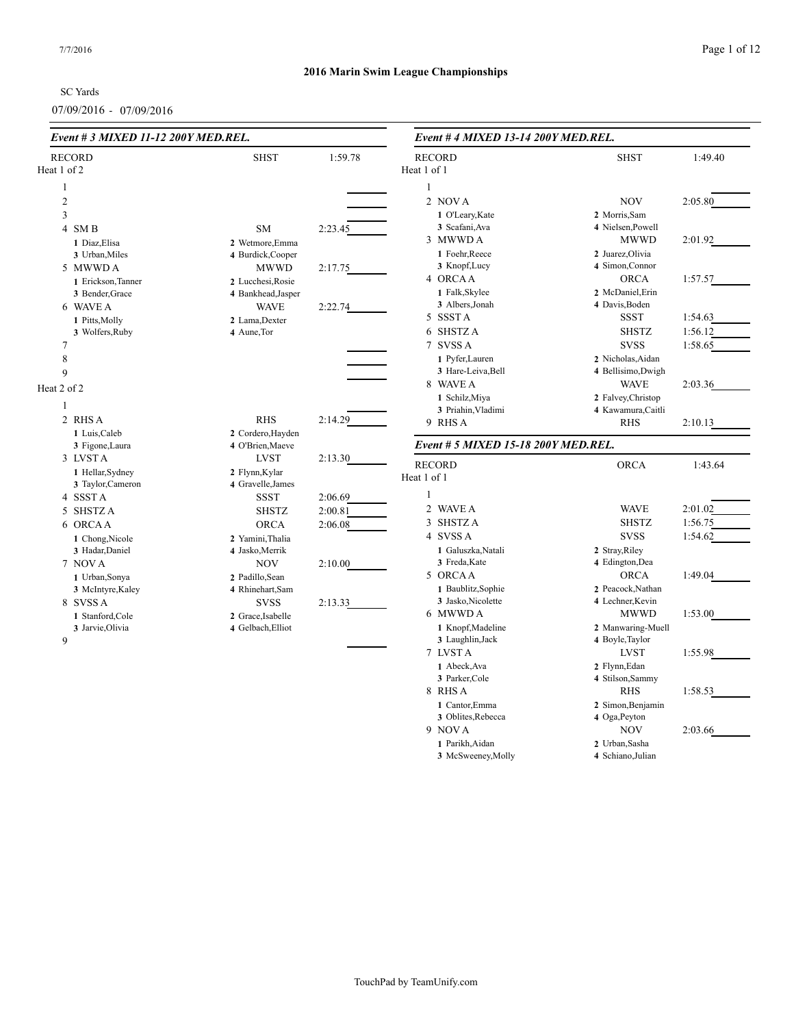SC Yards

07/09/2016 - 07/09/2016

| Event # 3 MIXED 11-12 200Y MED.REL. |                    |         | Event # 4 MIXED 13-14 200Y MED.REL.      |                                       |         |  |  |
|-------------------------------------|--------------------|---------|------------------------------------------|---------------------------------------|---------|--|--|
| <b>RECORD</b>                       | <b>SHST</b>        | 1:59.78 | <b>RECORD</b>                            | <b>SHST</b>                           | 1:49.40 |  |  |
| Heat 1 of 2                         |                    |         | Heat 1 of 1                              |                                       |         |  |  |
| $\mathbf{1}$                        |                    |         | $\mathbf{1}$                             |                                       |         |  |  |
| $\mathfrak{2}$                      |                    |         | 2 NOVA                                   | <b>NOV</b>                            | 2:05.80 |  |  |
| 3                                   |                    |         | 1 O'Leary, Kate                          | 2 Morris, Sam                         |         |  |  |
| 4 SMB                               | <b>SM</b>          | 2:23.45 | 3 Scafani, Ava                           | 4 Nielsen, Powell                     |         |  |  |
| 1 Diaz, Elisa                       | 2 Wetmore, Emma    |         | 3 MWWD A                                 | <b>MWWD</b>                           | 2:01.92 |  |  |
| 3 Urban, Miles                      | 4 Burdick, Cooper  |         | 1 Foehr, Reece                           | 2 Juarez, Olivia                      |         |  |  |
| 5 MWWDA                             | <b>MWWD</b>        | 2:17.75 | 3 Knopf, Lucy                            | 4 Simon, Connor                       |         |  |  |
| 1 Erickson, Tanner                  | 2 Lucchesi, Rosie  |         | 4 ORCAA                                  | <b>ORCA</b>                           | 1:57.57 |  |  |
| 3 Bender, Grace                     | 4 Bankhead, Jasper |         | 1 Falk, Skylee                           | 2 McDaniel, Erin                      |         |  |  |
| 6 WAVE A                            | <b>WAVE</b>        | 2:22.74 | 3 Albers, Jonah                          | 4 Davis, Boden                        |         |  |  |
| 1 Pitts, Molly                      | 2 Lama, Dexter     |         | 5 SSSTA                                  | <b>SSST</b>                           | 1:54.63 |  |  |
| 3 Wolfers, Ruby                     | 4 Aune, Tor        |         | 6 SHSTZA                                 | <b>SHSTZ</b>                          | 1:56.12 |  |  |
| 7                                   |                    |         | 7 SVSS A                                 | <b>SVSS</b>                           | 1:58.65 |  |  |
| $\,8\,$                             |                    |         | 1 Pyfer, Lauren                          | 2 Nicholas, Aidan                     |         |  |  |
| 9                                   |                    |         | 3 Hare-Leiva, Bell                       | 4 Bellisimo, Dwigh                    |         |  |  |
| Heat 2 of 2                         |                    |         | 8 WAVE A                                 | <b>WAVE</b>                           | 2:03.36 |  |  |
|                                     |                    |         | 1 Schilz, Miya                           | 2 Falvey, Christop                    |         |  |  |
| $\mathbf{1}$                        |                    |         | 3 Priahin, Vladimi                       | 4 Kawamura, Caitli                    |         |  |  |
| 2 RHS A                             | <b>RHS</b>         | 2:14.29 | 9 RHS A                                  | <b>RHS</b>                            | 2:10.13 |  |  |
| 1 Luis, Caleb                       | 2 Cordero, Hayden  |         |                                          |                                       |         |  |  |
| 3 Figone, Laura                     | 4 O'Brien, Maeve   |         | Event # 5 MIXED 15-18 200Y MED.REL.      |                                       |         |  |  |
| 3 LVSTA                             | <b>LVST</b>        | 2:13.30 | <b>RECORD</b>                            | ORCA                                  | 1:43.64 |  |  |
| 1 Hellar, Sydney                    | 2 Flynn, Kylar     |         | Heat 1 of 1                              |                                       |         |  |  |
| 3 Taylor, Cameron                   | 4 Gravelle, James  |         | 1                                        |                                       |         |  |  |
| 4 SSSTA                             | <b>SSST</b>        | 2:06.69 | 2 WAVE A                                 | <b>WAVE</b>                           | 2:01.02 |  |  |
| 5 SHSTZ A                           | <b>SHSTZ</b>       | 2:00.81 |                                          |                                       |         |  |  |
| 6 ORCAA                             | <b>ORCA</b>        | 2:06.08 | 3 SHSTZA                                 | <b>SHSTZ</b>                          | 1:56.75 |  |  |
| 1 Chong, Nicole                     | 2 Yamini, Thalia   |         | 4 SVSS A                                 | <b>SVSS</b>                           | 1:54.62 |  |  |
| 3 Hadar, Daniel                     | 4 Jasko, Merrik    |         | 1 Galuszka, Natali                       | 2 Stray, Riley                        |         |  |  |
| 7 NOVA                              | <b>NOV</b>         | 2:10.00 | 3 Freda, Kate                            | 4 Edington, Dea                       |         |  |  |
| 1 Urban, Sonya                      | 2 Padillo, Sean    |         | 5 ORCAA                                  | <b>ORCA</b>                           | 1:49.04 |  |  |
| 3 McIntyre, Kaley                   | 4 Rhinehart, Sam   |         | 1 Baublitz, Sophie<br>3 Jasko, Nicolette | 2 Peacock, Nathan<br>4 Lechner, Kevin |         |  |  |
| 8 SVSS A                            | <b>SVSS</b>        | 2:13.33 | 6 MWWD A                                 | <b>MWWD</b>                           | 1:53.00 |  |  |
| 1 Stanford, Cole                    | 2 Grace, Isabelle  |         |                                          |                                       |         |  |  |
| 3 Jarvie, Olivia<br>9               | 4 Gelbach, Elliot  |         | 1 Knopf, Madeline<br>3 Laughlin, Jack    | 2 Manwaring-Muell<br>4 Boyle, Taylor  |         |  |  |
|                                     |                    |         | 7 LVSTA                                  | <b>LVST</b>                           | 1:55.98 |  |  |
|                                     |                    |         | 1 Abeck, Ava                             | 2 Flynn, Edan                         |         |  |  |
|                                     |                    |         | 3 Parker, Cole                           | 4 Stilson, Sammy                      |         |  |  |
|                                     |                    |         | 8 RHS A                                  | <b>RHS</b>                            | 1:58.53 |  |  |
|                                     |                    |         | 1 Cantor, Emma                           | 2 Simon, Benjamin                     |         |  |  |
|                                     |                    |         | 3 Oblites, Rebecca                       | 4 Oga, Peyton                         |         |  |  |
|                                     |                    |         | 9 NOVA                                   | <b>NOV</b>                            | 2:03.66 |  |  |
|                                     |                    |         | 1 Parikh, Aidan                          | 2 Urban, Sasha                        |         |  |  |
|                                     |                    |         | 3 McSweeney, Molly                       | 4 Schiano, Julian                     |         |  |  |
|                                     |                    |         |                                          |                                       |         |  |  |

McSweeney, Molly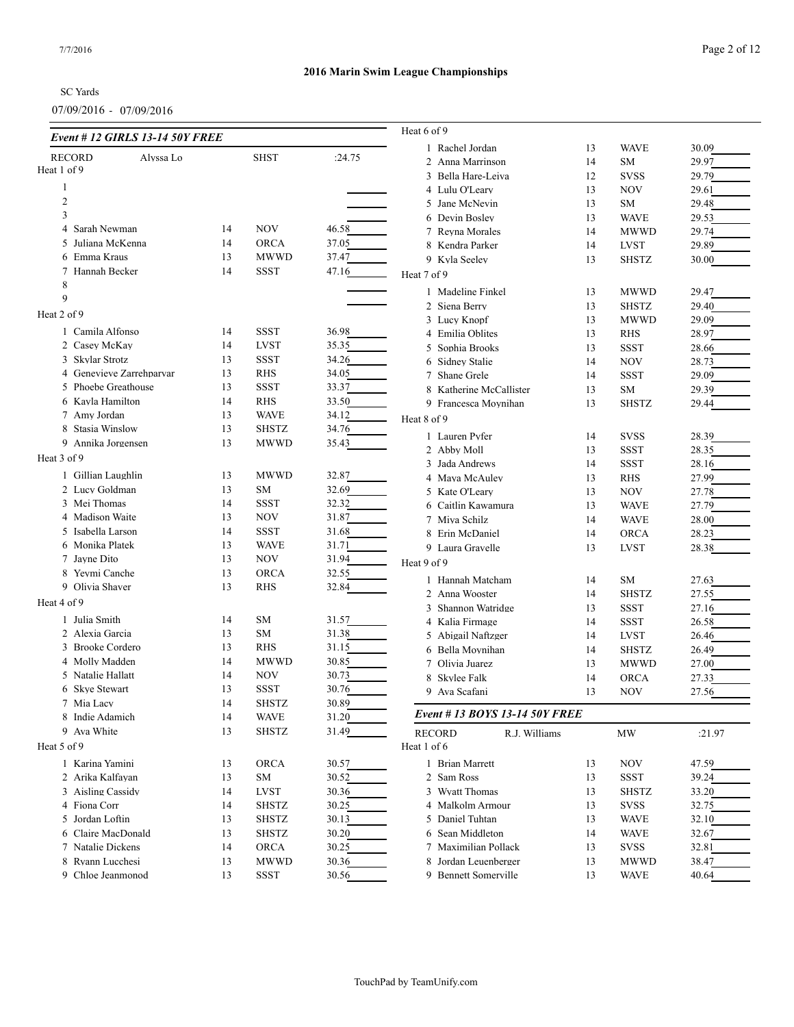|                              | Event # 12 GIRLS 13-14 50Y FREE |    |              |        | Heat 6 of 9             |                               |    |              |        |
|------------------------------|---------------------------------|----|--------------|--------|-------------------------|-------------------------------|----|--------------|--------|
|                              | Alvssa Lo                       |    | <b>SHST</b>  | :24.75 | 1 Rachel Jordan         |                               | 13 | <b>WAVE</b>  | 30.09  |
| <b>RECORD</b><br>Heat 1 of 9 |                                 |    |              |        | 2 Anna Marrinson        |                               | 14 | <b>SM</b>    | 29.97  |
|                              |                                 |    |              |        | 3 Bella Hare-Leiva      |                               | 12 | <b>SVSS</b>  | 29.79  |
| 1                            |                                 |    |              |        | 4 Lulu O'Leary          |                               | 13 | <b>NOV</b>   | 29.61  |
| $\mathfrak{2}$               |                                 |    |              |        | 5 Jane McNevin          |                               | 13 | <b>SM</b>    | 29.48  |
| 3                            |                                 |    |              |        | 6 Devin Bosley          |                               | 13 | <b>WAVE</b>  | 29.53  |
| Sarah Newman<br>4            |                                 | 14 | <b>NOV</b>   | 46.58  | 7 Reyna Morales         |                               | 14 | <b>MWWD</b>  | 29.74  |
| 5 Juliana McKenna            |                                 | 14 | <b>ORCA</b>  | 37.05  | 8 Kendra Parker         |                               | 14 | <b>LVST</b>  | 29.89  |
| 6 Emma Kraus                 |                                 | 13 | <b>MWWD</b>  | 37.47  | 9 Kvla Seelev           |                               | 13 | <b>SHSTZ</b> | 30.00  |
| 7 Hannah Becker              |                                 | 14 | <b>SSST</b>  | 47.16  | Heat 7 of 9             |                               |    |              |        |
| 8                            |                                 |    |              |        | 1 Madeline Finkel       |                               | 13 | <b>MWWD</b>  | 29.47  |
| 9                            |                                 |    |              |        | 2 Siena Berry           |                               | 13 | <b>SHSTZ</b> | 29.40  |
| Heat 2 of 9                  |                                 |    |              |        | 3 Lucy Knopf            |                               | 13 | <b>MWWD</b>  | 29.09  |
| 1 Camila Alfonso             |                                 | 14 | <b>SSST</b>  | 36.98  | 4 Emilia Oblites        |                               | 13 | <b>RHS</b>   | 28.97  |
| 2 Casey McKay                |                                 | 14 | <b>LVST</b>  | 35.35  | 5 Sophia Brooks         |                               | 13 | <b>SSST</b>  | 28.66  |
| 3 Skylar Strotz              |                                 | 13 | <b>SSST</b>  | 34.26  | 6 Sidney Stalie         |                               | 14 | <b>NOV</b>   | 28.73  |
| 4 Genevieve Zarrehparvar     |                                 | 13 | <b>RHS</b>   | 34.05  | 7 Shane Grele           |                               | 14 | <b>SSST</b>  | 29.09  |
| 5 Phoebe Greathouse          |                                 | 13 | <b>SSST</b>  | 33.37  | 8 Katherine McCallister |                               | 13 | <b>SM</b>    | 29.39  |
| 6 Kayla Hamilton             |                                 | 14 | <b>RHS</b>   | 33.50  | 9 Francesca Moynihan    |                               | 13 | <b>SHSTZ</b> | 29.44  |
| 7 Amy Jordan                 |                                 | 13 | <b>WAVE</b>  | 34.12  |                         |                               |    |              |        |
| 8 Stasia Winslow             |                                 | 13 | <b>SHSTZ</b> | 34.76  | Heat 8 of 9             |                               |    |              |        |
| 9 Annika Jorgensen           |                                 | 13 | <b>MWWD</b>  | 35.43  | 1 Lauren Pyfer          |                               | 14 | <b>SVSS</b>  | 28.39  |
| Heat 3 of 9                  |                                 |    |              |        | 2 Abby Moll             |                               | 13 | <b>SSST</b>  | 28.35  |
|                              |                                 |    |              |        | 3 Jada Andrews          |                               | 14 | <b>SSST</b>  | 28.16  |
| 1 Gillian Laughlin           |                                 | 13 | <b>MWWD</b>  | 32.87  | 4 Maya McAuley          |                               | 13 | <b>RHS</b>   | 27.99  |
| 2 Lucy Goldman               |                                 | 13 | SM           | 32.69  | 5 Kate O'Leary          |                               | 13 | <b>NOV</b>   | 27.78  |
| 3 Mei Thomas                 |                                 | 14 | <b>SSST</b>  | 32.32  | 6 Caitlin Kawamura      |                               | 13 | <b>WAVE</b>  | 27.79  |
| 4 Madison Waite              |                                 | 13 | NOV          | 31.87  | 7 Miya Schilz           |                               | 14 | <b>WAVE</b>  | 28.00  |
| 5 Isabella Larson            |                                 | 14 | <b>SSST</b>  | 31.68  | 8 Erin McDaniel         |                               | 14 | <b>ORCA</b>  | 28.23  |
| 6 Monika Platek              |                                 | 13 | <b>WAVE</b>  | 31.71  | 9 Laura Gravelle        |                               | 13 | <b>LVST</b>  | 28.38  |
| 7 Jayne Dito                 |                                 | 13 | <b>NOV</b>   | 31.94  | Heat 9 of 9             |                               |    |              |        |
| 8 Yeymi Canche               |                                 | 13 | <b>ORCA</b>  | 32.55  | 1 Hannah Matcham        |                               | 14 | SM           | 27.63  |
| 9 Olivia Shaver              |                                 | 13 | <b>RHS</b>   | 32.84  | 2 Anna Wooster          |                               | 14 | <b>SHSTZ</b> | 27.55  |
| Heat 4 of 9                  |                                 |    |              |        | 3 Shannon Watridge      |                               | 13 | <b>SSST</b>  | 27.16  |
| 1 Julia Smith                |                                 | 14 | SM           | 31.57  | 4 Kalia Firmage         |                               | 14 | <b>SSST</b>  | 26.58  |
| 2 Alexia Garcia              |                                 | 13 | SM           | 31.38  | 5 Abigail Naftzger      |                               | 14 | <b>LVST</b>  | 26.46  |
| 3 Brooke Cordero             |                                 | 13 | <b>RHS</b>   | 31.15  | 6 Bella Moynihan        |                               | 14 | <b>SHSTZ</b> | 26.49  |
| 4 Molly Madden               |                                 | 14 | <b>MWWD</b>  | 30.85  | 7 Olivia Juarez         |                               | 13 | <b>MWWD</b>  | 27.00  |
| 5 Natalie Hallatt            |                                 | 14 | NOV          | 30.73  | 8 Skylee Falk           |                               | 14 | <b>ORCA</b>  | 27.33  |
| 6 Skve Stewart               |                                 | 13 | <b>SSST</b>  | 30.76  | 9 Ava Scafani           |                               | 13 | <b>NOV</b>   | 27.56  |
| 7 Mia Lacy                   |                                 | 14 | <b>SHSTZ</b> | 30.89  |                         |                               |    |              |        |
| 8 Indie Adamich              |                                 | 14 | <b>WAVE</b>  | 31.20  |                         | Event #13 BOYS 13-14 50Y FREE |    |              |        |
| 9 Ava White                  |                                 | 13 | <b>SHSTZ</b> | 31.49  | <b>RECORD</b>           | R.J. Williams                 |    | <b>MW</b>    | :21.97 |
| Heat 5 of 9                  |                                 |    |              |        | Heat 1 of 6             |                               |    |              |        |
|                              |                                 |    |              |        |                         |                               |    |              |        |
| 1 Karina Yamini              |                                 | 13 | <b>ORCA</b>  | 30.57  | 1 Brian Marrett         |                               | 13 | NOV          | 47.59  |
| 2 Arika Kalfayan             |                                 | 13 | SМ           | 30.52  | 2 Sam Ross              |                               | 13 | SSST         | 39.24  |
| 3 Aisling Cassidy            |                                 | 14 | LVST         | 30.36  | 3 Wyatt Thomas          |                               | 13 | <b>SHSTZ</b> | 33.20  |
| 4 Fiona Corr                 |                                 | 14 | <b>SHSTZ</b> | 30.25  | 4 Malkolm Armour        |                               | 13 | <b>SVSS</b>  | 32.75  |
| 5 Jordan Loftin              |                                 | 13 | <b>SHSTZ</b> | 30.13  | 5 Daniel Tuhtan         |                               | 13 | <b>WAVE</b>  | 32.10  |
| 6 Claire MacDonald           |                                 | 13 | <b>SHSTZ</b> | 30.20  | 6 Sean Middleton        |                               | 14 | <b>WAVE</b>  | 32.67  |
| 7 Natalie Dickens            |                                 | 14 | ORCA         | 30.25  | 7 Maximilian Pollack    |                               | 13 | <b>SVSS</b>  | 32.81  |
| 8 Ryann Lucchesi             |                                 | 13 | <b>MWWD</b>  | 30.36  | 8 Jordan Leuenberger    |                               | 13 | <b>MWWD</b>  | 38.47  |
| 9 Chloe Jeanmonod            |                                 | 13 | SSST         | 30.56  | 9 Bennett Somerville    |                               | 13 | <b>WAVE</b>  | 40.64  |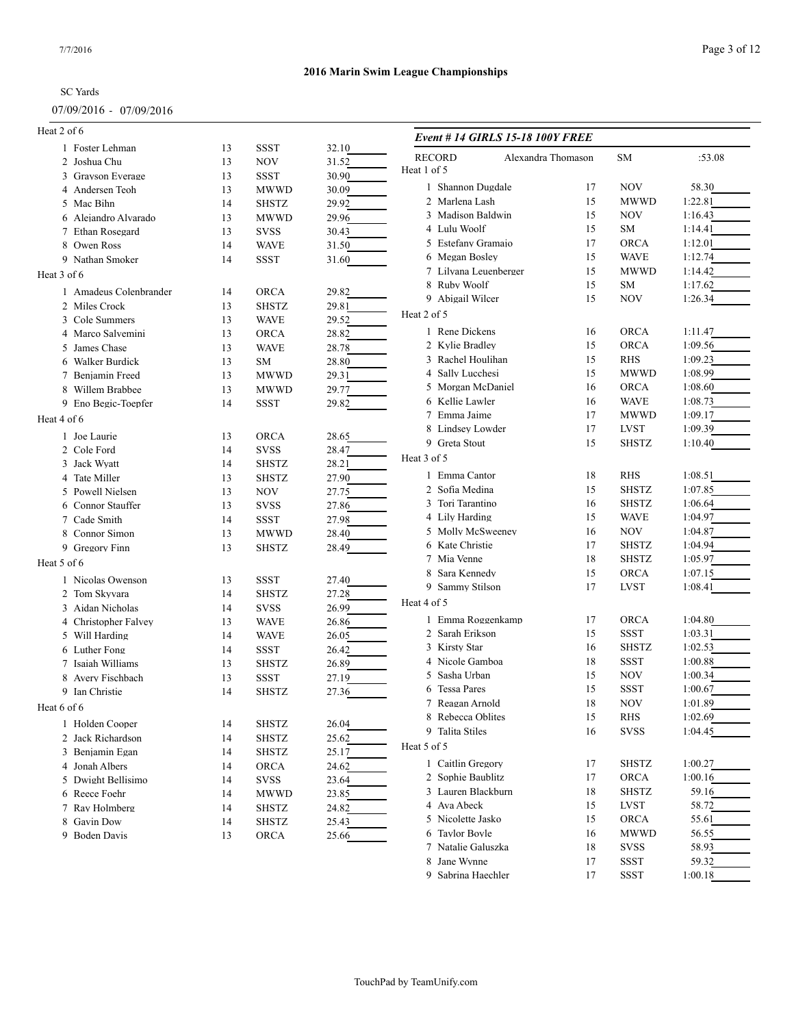#### 07/09/2016 - 07/09/2016

# **2016 Marin Swim League Championships**

| Heat 2 of 6                         |          |                             |       | Event # 14 GIRLS 15-18 100Y FREE  |    |              |         |
|-------------------------------------|----------|-----------------------------|-------|-----------------------------------|----|--------------|---------|
| 1 Foster Lehman                     | 13       | <b>SSST</b>                 | 32.10 | <b>RECORD</b>                     |    |              |         |
| 2 Joshua Chu                        | 13       | <b>NOV</b>                  | 31.52 | Alexandra Thomason<br>Heat 1 of 5 |    | SM           | :53.08  |
| 3 Grayson Everage                   | 13       | <b>SSST</b>                 | 30.90 |                                   |    |              |         |
| 4 Andersen Teoh                     | 13       | <b>MWWD</b>                 | 30.09 | 1 Shannon Dugdale                 | 17 | <b>NOV</b>   | 58.30   |
| 5 Mac Bihn                          | 14       | SHSTZ                       | 29.92 | 2 Marlena Lash                    | 15 | <b>MWWD</b>  | 1:22.81 |
| 6 Alejandro Alvarado                | 13       | <b>MWWD</b>                 | 29.96 | 3 Madison Baldwin                 | 15 | <b>NOV</b>   | 1:16.43 |
| 7 Ethan Rosegard                    | 13       | <b>SVSS</b>                 | 30.43 | 4 Lulu Woolf                      | 15 | SM           | 1:14.41 |
| 8 Owen Ross                         | 14       | <b>WAVE</b>                 | 31.50 | 5 Estefany Gramajo                | 17 | <b>ORCA</b>  | 1:12.01 |
| 9 Nathan Smoker                     | 14       | <b>SSST</b>                 | 31.60 | 6 Megan Bosley                    | 15 | <b>WAVE</b>  | 1:12.74 |
| Heat 3 of 6                         |          |                             |       | 7 Lilyana Leuenberger             | 15 | <b>MWWD</b>  | 1:14.42 |
| 1 Amadeus Colenbrander              | 14       | <b>ORCA</b>                 | 29.82 | 8 Ruby Woolf                      | 15 | SM           | 1:17.62 |
| 2 Miles Crock                       | 13       | <b>SHSTZ</b>                | 29.81 | 9 Abigail Wilcer                  | 15 | <b>NOV</b>   | 1:26.34 |
| 3 Cole Summers                      | 13       | <b>WAVE</b>                 | 29.52 | Heat 2 of 5                       |    |              |         |
| 4 Marco Salvemini                   | 13       | <b>ORCA</b>                 | 28.82 | 1 Rene Dickens                    | 16 | <b>ORCA</b>  | 1:11.47 |
| 5 James Chase                       | 13       | <b>WAVE</b>                 | 28.78 | 2 Kylie Bradley                   | 15 | <b>ORCA</b>  | 1:09.56 |
| 6 Walker Burdick                    | 13       | SM                          | 28.80 | 3 Rachel Houlihan                 | 15 | RHS          | 1:09.23 |
| 7 Benjamin Freed                    | 13       | <b>MWWD</b>                 | 29.31 | 4 Sally Lucchesi                  | 15 | <b>MWWD</b>  | 1:08.99 |
| 8 Willem Brabbee                    | 13       | <b>MWWD</b>                 | 29.77 | 5 Morgan McDaniel                 | 16 | <b>ORCA</b>  | 1:08.60 |
| 9 Eno Begic-Toepfer                 | 14       | <b>SSST</b>                 | 29.82 | 6 Kellie Lawler                   | 16 | <b>WAVE</b>  | 1:08.73 |
|                                     |          |                             |       | 7 Emma Jaime                      | 17 | <b>MWWD</b>  | 1:09.17 |
| Heat 4 of 6                         |          |                             |       | 8 Lindsey Lowder                  | 17 | <b>LVST</b>  | 1:09.39 |
| 1 Joe Laurie                        | 13       | <b>ORCA</b>                 | 28.65 | 9 Greta Stout                     | 15 | <b>SHSTZ</b> | 1:10.40 |
| 2 Cole Ford                         | 14       | <b>SVSS</b>                 | 28.47 | Heat 3 of 5                       |    |              |         |
| 3 Jack Wyatt                        | 14       | <b>SHSTZ</b>                | 28.21 |                                   |    |              |         |
| 4 Tate Miller                       | 13       | <b>SHSTZ</b>                | 27.90 | 1 Emma Cantor                     | 18 | <b>RHS</b>   | 1:08.51 |
| 5 Powell Nielsen                    | 13       | <b>NOV</b>                  | 27.75 | 2 Sofia Medina                    | 15 | <b>SHSTZ</b> | 1:07.85 |
| 6 Connor Stauffer                   | 13       | <b>SVSS</b>                 | 27.86 | 3 Tori Tarantino                  | 16 | <b>SHSTZ</b> | 1:06.64 |
| 7 Cade Smith                        | 14       | <b>SSST</b>                 | 27.98 | 4 Lily Harding                    | 15 | <b>WAVE</b>  | 1:04.97 |
| 8 Connor Simon                      | 13       | <b>MWWD</b>                 | 28.40 | 5 Molly McSweeney                 | 16 | <b>NOV</b>   | 1:04.87 |
| 9 Gregory Finn                      | 13       | <b>SHSTZ</b>                | 28.49 | 6 Kate Christie                   | 17 | <b>SHSTZ</b> | 1:04.94 |
| Heat 5 of 6                         |          |                             |       | 7 Mia Venne                       | 18 | <b>SHSTZ</b> | 1:05.97 |
| 1 Nicolas Owenson                   | 13       | <b>SSST</b>                 | 27.40 | 8 Sara Kennedy                    | 15 | <b>ORCA</b>  | 1:07.15 |
| 2 Tom Skyvara                       | 14       | <b>SHSTZ</b>                | 27.28 | 9 Sammy Stilson                   | 17 | <b>LVST</b>  | 1:08.41 |
| 3 Aidan Nicholas                    | 14       | SVSS                        | 26.99 | Heat 4 of 5                       |    |              |         |
| 4 Christopher Falvey                | 13       | <b>WAVE</b>                 | 26.86 | 1 Emma Roggenkamp                 | 17 | <b>ORCA</b>  | 1:04.80 |
| 5 Will Harding                      |          |                             |       | 2 Sarah Erikson                   | 15 | <b>SSST</b>  | 1:03.31 |
|                                     | 14       | <b>WAVE</b>                 | 26.05 | 3 Kirsty Star                     | 16 | <b>SHSTZ</b> | 1:02.53 |
| 6 Luther Fong<br>7 Isaiah Williams  | 14<br>13 | <b>SSST</b><br><b>SHSTZ</b> | 26.42 | 4 Nicole Gamboa                   | 18 | <b>SSST</b>  | 1:00.88 |
|                                     |          |                             | 26.89 | 5 Sasha Urban                     | 15 | <b>NOV</b>   | 1:00.34 |
| 8 Avery Fischbach<br>9 Ian Christie | 13       | <b>SSST</b><br><b>SHSTZ</b> | 27.19 | 6 Tessa Pares                     | 15 | <b>SSST</b>  | 1:00.67 |
|                                     | 14       |                             | 27.36 | 7 Reagan Arnold                   | 18 | <b>NOV</b>   | 1:01.89 |
| Heat 6 of 6                         |          |                             |       | 8 Rebecca Oblites                 | 15 | RHS          | 1:02.69 |
| 1 Holden Cooper                     | 14       | <b>SHSTZ</b>                | 26.04 | 9 Talita Stiles                   | 16 | <b>SVSS</b>  | 1:04.45 |
| 2 Jack Richardson                   | 14       | <b>SHSTZ</b>                | 25.62 |                                   |    |              |         |
| 3 Benjamin Egan                     | 14       | SHSTZ                       | 25.17 | Heat 5 of 5                       |    |              |         |
| 4 Jonah Albers                      | 14       | <b>ORCA</b>                 | 24.62 | 1 Caitlin Gregory                 | 17 | <b>SHSTZ</b> | 1:00.27 |
| 5 Dwight Bellisimo                  | 14       | SVSS                        | 23.64 | 2 Sophie Baublitz                 | 17 | ORCA         | 1:00.16 |
| 6 Reece Foehr                       | 14       | <b>MWWD</b>                 | 23.85 | 3 Lauren Blackburn                | 18 | <b>SHSTZ</b> | 59.16   |
| 7 Ray Holmberg                      | 14       | <b>SHSTZ</b>                | 24.82 | 4 Ava Abeck                       | 15 | <b>LVST</b>  | 58.72   |
| 8 Gavin Dow                         | 14       | <b>SHSTZ</b>                | 25.43 | 5 Nicolette Jasko                 | 15 | <b>ORCA</b>  | 55.61   |
| 9 Boden Davis                       | 13       | ORCA                        | 25.66 | 6 Taylor Boyle                    | 16 | <b>MWWD</b>  | 56.55   |
|                                     |          |                             |       | 7 Natalie Galuszka                | 18 | <b>SVSS</b>  | 58.93   |
|                                     |          |                             |       | 8 Jane Wynne                      | 17 | SSST         | 59.32   |
|                                     |          |                             |       | 9 Sabrina Haechler                | 17 | <b>SSST</b>  | 1:00.18 |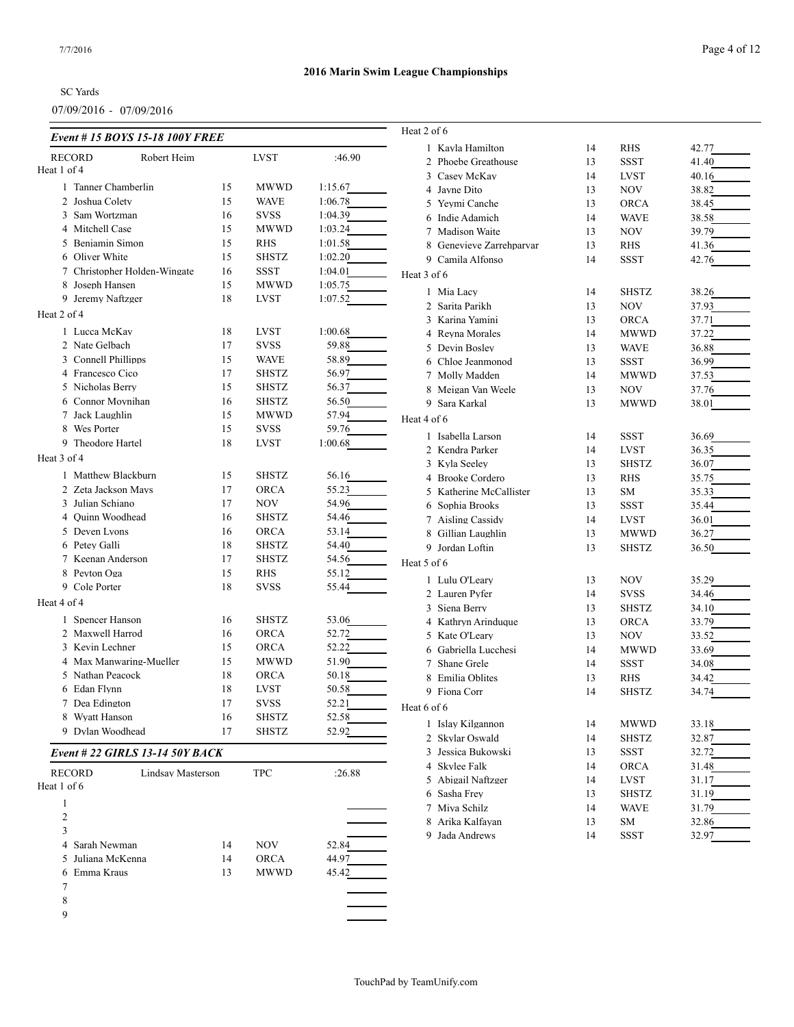| <b>2016 Marin Swim League Championships</b> |  |  |  |  |  |  |  |  |  |
|---------------------------------------------|--|--|--|--|--|--|--|--|--|
|                                             |  |  |  |  |  |  |  |  |  |
|                                             |  |  |  |  |  |  |  |  |  |
|                                             |  |  |  |  |  |  |  |  |  |

| Event # 15 BOYS 15-18 100Y FREE             |          |                            |                | Heat 2 of 6              |          |              |       |
|---------------------------------------------|----------|----------------------------|----------------|--------------------------|----------|--------------|-------|
| Robert Heim<br><b>RECORD</b>                |          | <b>LVST</b>                | :46.90         | 1 Kayla Hamilton         | 14       | <b>RHS</b>   | 42.77 |
| Heat 1 of 4                                 |          |                            |                | 2 Phoebe Greathouse      | 13       | <b>SSST</b>  | 41.40 |
| 1 Tanner Chamberlin                         | 15       | <b>MWWD</b>                | 1:15.67        | 3 Casev McKav            | 14       | <b>LVST</b>  | 40.16 |
| 2 Joshua Colety                             | 15       | <b>WAVE</b>                | 1:06.78        | 4 Jayne Dito             | 13<br>13 | NOV          | 38.82 |
| 3 Sam Wortzman                              | 16       | <b>SVSS</b>                | 1:04.39        | 5 Yeymi Canche           |          | <b>ORCA</b>  | 38.45 |
| 4 Mitchell Case                             | 15       | <b>MWWD</b>                | 1:03.24        | 6 Indie Adamich          | 14       | <b>WAVE</b>  | 38.58 |
| 5 Benjamin Simon                            | 15       | <b>RHS</b>                 | 1:01.58        | 7 Madison Waite          | 13       | NOV          | 39.79 |
| 6 Oliver White                              | 15       | <b>SHSTZ</b>               | 1:02.20        | 8 Genevieve Zarrehparvar | 13<br>14 | <b>RHS</b>   | 41.36 |
| 7 Christopher Holden-Wingate                | 16       | <b>SSST</b>                | 1:04.01        | 9 Camila Alfonso         |          | SSST         | 42.76 |
| 8 Joseph Hansen                             | 15       | <b>MWWD</b>                | 1:05.75        | Heat 3 of 6              |          |              |       |
| 9 Jeremy Naftzger                           | 18       | LVST                       | 1:07.52        | 1 Mia Lacv               | 14       | <b>SHSTZ</b> | 38.26 |
| Heat 2 of 4                                 |          |                            |                | 2 Sarita Parikh          | 13       | <b>NOV</b>   | 37.93 |
|                                             |          |                            |                | 3 Karina Yamini          | 13       | <b>ORCA</b>  | 37.71 |
| 1 Lucca McKay                               | 18       | LVST                       | 1:00.68        | 4 Reyna Morales          | 14       | <b>MWWD</b>  | 37.22 |
| 2 Nate Gelbach                              | 17       | <b>SVSS</b>                | 59.88          | 5 Devin Bosley           | 13       | <b>WAVE</b>  | 36.88 |
| 3 Connell Phillipps                         | 15       | <b>WAVE</b>                | 58.89          | 6 Chloe Jeanmonod        | 13       | <b>SSST</b>  | 36.99 |
| 4 Francesco Cico                            | 17       | <b>SHSTZ</b>               | 56.97          | 7 Molly Madden           | 14       | <b>MWWD</b>  | 37.53 |
| 5 Nicholas Berry                            | 15       | <b>SHSTZ</b>               | 56.37          | 8 Meigan Van Weele       | 13       | NOV          | 37.76 |
| 6 Connor Moynihan                           | 16       | <b>SHSTZ</b>               | 56.50          | 9 Sara Karkal            | 13       | <b>MWWD</b>  | 38.01 |
| 7 Jack Laughlin                             | 15       | <b>MWWD</b>                | 57.94          | Heat 4 of 6              |          |              |       |
| 8 Wes Porter                                | 15       | <b>SVSS</b>                | 59.76          | 1 Isabella Larson        | 14       | <b>SSST</b>  | 36.69 |
| 9 Theodore Hartel                           | 18       | LVST                       | 1:00.68        | 2 Kendra Parker          | 14       | <b>LVST</b>  | 36.35 |
| Heat 3 of 4                                 |          |                            |                | 3 Kyla Seeley            | 13       | <b>SHSTZ</b> | 36.07 |
| 1 Matthew Blackburn                         | 15       | <b>SHSTZ</b>               | 56.16          | 4 Brooke Cordero         | 13       | <b>RHS</b>   | 35.75 |
| 2 Zeta Jackson Mays                         | 17       | <b>ORCA</b>                | 55.23          | 5 Katherine McCallister  | 13       | <b>SM</b>    | 35.33 |
| 3 Julian Schiano                            | 17       | NOV                        | 54.96          | 6 Sophia Brooks          | 13       | <b>SSST</b>  | 35.44 |
| 4 Ouinn Woodhead                            | 16       | <b>SHSTZ</b>               | 54.46          | 7 Aisling Cassidy        | 14       | <b>LVST</b>  | 36.01 |
| 5 Deven Lyons                               | 16       | <b>ORCA</b>                | 53.14          | 8 Gillian Laughlin       | 13       | <b>MWWD</b>  | 36.27 |
| 6 Petey Galli                               | 18       | <b>SHSTZ</b>               | 54.40          | 9 Jordan Loftin          | 13       | <b>SHSTZ</b> | 36.50 |
| 7 Keenan Anderson                           | 17       | <b>SHSTZ</b>               | 54.56          | Heat 5 of 6              |          |              |       |
| 8 Peyton Oga                                | 15       | <b>RHS</b>                 | 55.12          |                          |          |              |       |
| 9 Cole Porter                               | 18       | <b>SVSS</b>                | 55.44          | 1 Lulu O'Leary           | 13       | NOV          | 35.29 |
| Heat 4 of 4                                 |          |                            |                | 2 Lauren Pyfer           | 14       | <b>SVSS</b>  | 34.46 |
|                                             |          | <b>SHSTZ</b>               |                | 3 Siena Berry            | 13       | <b>SHSTZ</b> | 34.10 |
| 1 Spencer Hanson                            | 16       |                            | 53.06          | 4 Kathryn Arinduque      | 13       | <b>ORCA</b>  | 33.79 |
| 2 Maxwell Harrod                            | 16       | <b>ORCA</b>                | 52.72          | 5 Kate O'Leary           | 13       | NOV          | 33.52 |
| 3 Kevin Lechner                             | 15       | <b>ORCA</b>                | 52.22          | 6 Gabriella Lucchesi     | 14       | <b>MWWD</b>  | 33.69 |
| 4 Max Manwaring-Mueller<br>5 Nathan Peacock | 15       | <b>MWWD</b>                | 51.90          | 7 Shane Grele            | 14       | <b>SSST</b>  | 34.08 |
|                                             | 18       | <b>ORCA</b>                | 50.18          | 8 Emilia Oblites         | 13       | <b>RHS</b>   | 34.42 |
| 6 Edan Flynn<br>7 Dea Edington              | 18<br>17 | <b>LVST</b><br><b>SVSS</b> | 50.58<br>52.21 | 9 Fiona Corr             | 14       | <b>SHSTZ</b> | 34.74 |
| 8 Wyatt Hanson                              |          |                            |                | Heat 6 of 6              |          |              |       |
|                                             | 16       | <b>SHSTZ</b>               | 52.58          | 1 Islay Kilgannon        | 14       | <b>MWWD</b>  | 33.18 |
| 9 Dylan Woodhead                            | 17       | <b>SHSTZ</b>               | 52.92          | 2 Skylar Oswald          | 14       | <b>SHSTZ</b> | 32.87 |
| Event # 22 GIRLS 13-14 50Y BACK             |          |                            |                | 3 Jessica Bukowski       | 13       | <b>SSST</b>  | 32.72 |
| <b>RECORD</b><br><b>Lindsay Masterson</b>   |          |                            |                | 4 Skylee Falk            | 14       | <b>ORCA</b>  | 31.48 |
| Heat 1 of 6                                 |          | <b>TPC</b>                 | :26.88         | 5 Abigail Naftzger       | 14       | <b>LVST</b>  | 31.17 |
|                                             |          |                            |                | 6 Sasha Frey             | 13       | <b>SHSTZ</b> | 31.19 |
| $\mathbf{1}$                                |          |                            |                | 7 Miya Schilz            | 14       | <b>WAVE</b>  | 31.79 |
| $\sqrt{2}$                                  |          |                            |                | 8 Arika Kalfayan         | 13       | SM           | 32.86 |
| 3                                           |          |                            |                | 9 Jada Andrews           | 14       | <b>SSST</b>  | 32.97 |
| Sarah Newman<br>4                           | 14       | NOV                        | 52.84          |                          |          |              |       |
| Juliana McKenna<br>5                        | 14       | ORCA                       | 44.97          |                          |          |              |       |
| Emma Kraus<br>6                             | 13       | <b>MWWD</b>                | 45.42          |                          |          |              |       |
| 7                                           |          |                            |                |                          |          |              |       |
| 8                                           |          |                            |                |                          |          |              |       |
| 9                                           |          |                            |                |                          |          |              |       |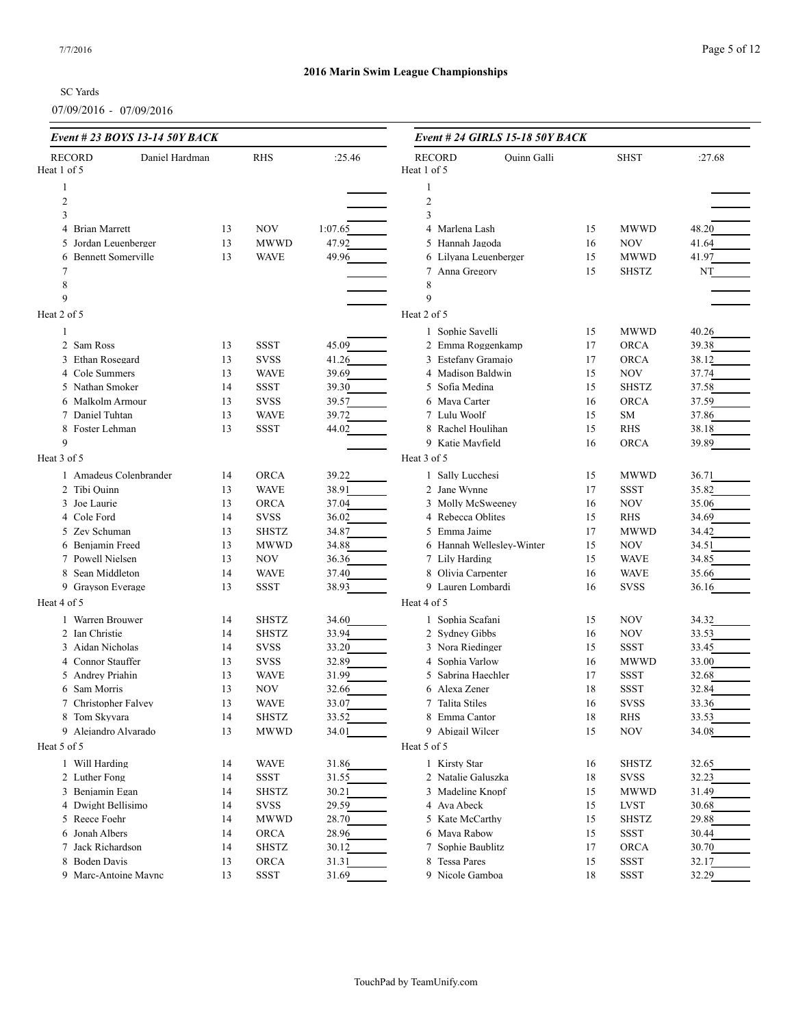#### SC Yards

| Event # 23 BOYS 13-14 50Y BACK |                |    |              | Event # 24 GIRLS 15-18 50Y BACK |                       |                           |    |              |        |
|--------------------------------|----------------|----|--------------|---------------------------------|-----------------------|---------------------------|----|--------------|--------|
| <b>RECORD</b>                  | Daniel Hardman |    | <b>RHS</b>   | :25.46                          | <b>RECORD</b>         | <b>Ouinn Galli</b>        |    | <b>SHST</b>  | :27.68 |
| Heat 1 of 5                    |                |    |              |                                 | Heat 1 of 5           |                           |    |              |        |
| 1                              |                |    |              |                                 |                       |                           |    |              |        |
| $\overline{c}$                 |                |    |              |                                 | $\overline{c}$        |                           |    |              |        |
| 3                              |                |    |              |                                 | 3                     |                           |    |              |        |
| <b>Brian Marrett</b><br>4      |                | 13 | <b>NOV</b>   | 1:07.65                         | 4 Marlena Lash        |                           | 15 | <b>MWWD</b>  | 48.20  |
| 5 Jordan Leuenberger           |                | 13 | <b>MWWD</b>  | 47.92                           | 5 Hannah Jagoda       |                           | 16 | <b>NOV</b>   | 41.64  |
| 6 Bennett Somerville           |                | 13 | <b>WAVE</b>  | 49.96                           | 6 Lilyana Leuenberger |                           | 15 | <b>MWWD</b>  | 41.97  |
|                                |                |    |              |                                 | 7 Anna Gregory        |                           | 15 | <b>SHSTZ</b> | NT     |
| 8<br>9                         |                |    |              |                                 | 8<br>9                |                           |    |              |        |
|                                |                |    |              |                                 |                       |                           |    |              |        |
| Heat 2 of 5                    |                |    |              |                                 | Heat 2 of 5           |                           |    |              |        |
| $\mathbf{1}$                   |                |    |              |                                 | 1 Sophie Savelli      |                           | 15 | <b>MWWD</b>  | 40.26  |
| 2 Sam Ross                     |                | 13 | <b>SSST</b>  | 45.09                           | 2 Emma Roggenkamp     |                           | 17 | <b>ORCA</b>  | 39.38  |
| 3 Ethan Rosegard               |                | 13 | <b>SVSS</b>  | 41.26                           | 3 Estefany Gramajo    |                           | 17 | <b>ORCA</b>  | 38.12  |
| 4 Cole Summers                 |                | 13 | <b>WAVE</b>  | 39.69                           | 4 Madison Baldwin     |                           | 15 | <b>NOV</b>   | 37.74  |
| 5 Nathan Smoker                |                | 14 | <b>SSST</b>  | 39.30                           | 5 Sofia Medina        |                           | 15 | <b>SHSTZ</b> | 37.58  |
| 6 Malkolm Armour               |                | 13 | <b>SVSS</b>  | 39.57                           | 6 Maya Carter         |                           | 16 | <b>ORCA</b>  | 37.59  |
| 7 Daniel Tuhtan                |                | 13 | <b>WAVE</b>  | 39.72                           | 7 Lulu Woolf          |                           | 15 | SM           | 37.86  |
| 8 Foster Lehman                |                | 13 | <b>SSST</b>  | 44.02                           | 8 Rachel Houlihan     |                           | 15 | <b>RHS</b>   | 38.18  |
| 9                              |                |    |              |                                 | 9 Katie Mayfield      |                           | 16 | <b>ORCA</b>  | 39.89  |
| Heat 3 of 5                    |                |    |              |                                 | Heat 3 of 5           |                           |    |              |        |
| 1 Amadeus Colenbrander         |                | 14 | <b>ORCA</b>  | 39.22                           | 1 Sally Lucchesi      |                           | 15 | <b>MWWD</b>  | 36.71  |
| 2 Tibi Quinn                   |                | 13 | <b>WAVE</b>  | 38.91                           | 2 Jane Wynne          |                           | 17 | <b>SSST</b>  | 35.82  |
| 3 Joe Laurie                   |                | 13 | <b>ORCA</b>  | 37.04                           | 3 Molly McSweeney     |                           | 16 | <b>NOV</b>   | 35.06  |
| 4 Cole Ford                    |                | 14 | <b>SVSS</b>  | 36.02                           | 4 Rebecca Oblites     |                           | 15 | <b>RHS</b>   | 34.69  |
| 5 Zev Schuman                  |                | 13 | <b>SHSTZ</b> | 34.87                           | 5 Emma Jaime          |                           | 17 | <b>MWWD</b>  | 34.42  |
| 6 Benjamin Freed               |                | 13 | <b>MWWD</b>  | 34.88                           |                       | 6 Hannah Wellesley-Winter | 15 | <b>NOV</b>   | 34.51  |
| 7 Powell Nielsen               |                | 13 | NOV          | 36.36                           | 7 Lily Harding        |                           | 15 | <b>WAVE</b>  | 34.85  |
| 8 Sean Middleton               |                | 14 | <b>WAVE</b>  | 37.40                           | 8 Olivia Carpenter    |                           | 16 | <b>WAVE</b>  | 35.66  |
| 9 Grayson Everage              |                | 13 | <b>SSST</b>  | 38.93                           | 9 Lauren Lombardi     |                           | 16 | <b>SVSS</b>  | 36.16  |
| Heat 4 of 5                    |                |    |              |                                 | Heat 4 of 5           |                           |    |              |        |
| 1 Warren Brouwer               |                | 14 | <b>SHSTZ</b> | 34.60                           | 1 Sophia Scafani      |                           | 15 | <b>NOV</b>   | 34.32  |
| 2 Ian Christie                 |                | 14 | <b>SHSTZ</b> | 33.94                           | 2 Sydney Gibbs        |                           | 16 | <b>NOV</b>   | 33.53  |
| 3 Aidan Nicholas               |                | 14 | <b>SVSS</b>  | 33.20                           | 3 Nora Riedinger      |                           | 15 | <b>SSST</b>  | 33.45  |
| 4 Connor Stauffer              |                | 13 | <b>SVSS</b>  | 32.89                           | 4 Sophia Varlow       |                           | 16 | <b>MWWD</b>  | 33.00  |
| 5 Andrey Priahin               |                | 13 | <b>WAVE</b>  | 31.99                           | 5 Sabrina Haechler    |                           | 17 | <b>SSST</b>  | 32.68  |
| 6 Sam Morris                   |                | 13 | <b>NOV</b>   | 32.66                           | 6 Alexa Zener         |                           | 18 | <b>SSST</b>  | 32.84  |
| 7 Christopher Falvey           |                | 13 | <b>WAVE</b>  | 33.07                           | 7 Talita Stiles       |                           | 16 | <b>SVSS</b>  | 33.36  |
| 8 Tom Skyvara                  |                | 14 | <b>SHSTZ</b> | 33.52                           | 8 Emma Cantor         |                           | 18 | RHS          | 33.53  |
| 9 Alejandro Alvarado           |                | 13 | <b>MWWD</b>  | 34.01                           | 9 Abigail Wilcer      |                           | 15 | <b>NOV</b>   | 34.08  |
| Heat 5 of 5                    |                |    |              |                                 | Heat 5 of 5           |                           |    |              |        |
| 1 Will Harding                 |                | 14 | <b>WAVE</b>  | 31.86                           | 1 Kirsty Star         |                           | 16 | <b>SHSTZ</b> | 32.65  |
| 2 Luther Fong                  |                | 14 | SSST         | 31.55                           | 2 Natalie Galuszka    |                           | 18 | <b>SVSS</b>  | 32.23  |
| 3 Benjamin Egan                |                | 14 | <b>SHSTZ</b> | 30.21                           | 3 Madeline Knopf      |                           | 15 | <b>MWWD</b>  | 31.49  |
| 4 Dwight Bellisimo             |                | 14 | <b>SVSS</b>  | 29.59                           | 4 Ava Abeck           |                           | 15 | <b>LVST</b>  | 30.68  |
| 5 Reece Foehr                  |                | 14 | <b>MWWD</b>  | 28.70                           | 5 Kate McCarthy       |                           | 15 | <b>SHSTZ</b> | 29.88  |
| 6 Jonah Albers                 |                | 14 | ORCA         | 28.96                           | 6 Maya Rabow          |                           | 15 | SSST         | 30.44  |
| 7 Jack Richardson              |                | 14 | <b>SHSTZ</b> | 30.12                           | 7 Sophie Baublitz     |                           | 17 | <b>ORCA</b>  | 30.70  |
| 8 Boden Davis                  |                | 13 | ORCA         | 31.31                           | 8 Tessa Pares         |                           | 15 | <b>SSST</b>  | 32.17  |
| 9 Marc-Antoine Maync           |                | 13 | SSST         | 31.69                           | 9 Nicole Gamboa       |                           | 18 | <b>SSST</b>  | 32.29  |
|                                |                |    |              |                                 |                       |                           |    |              |        |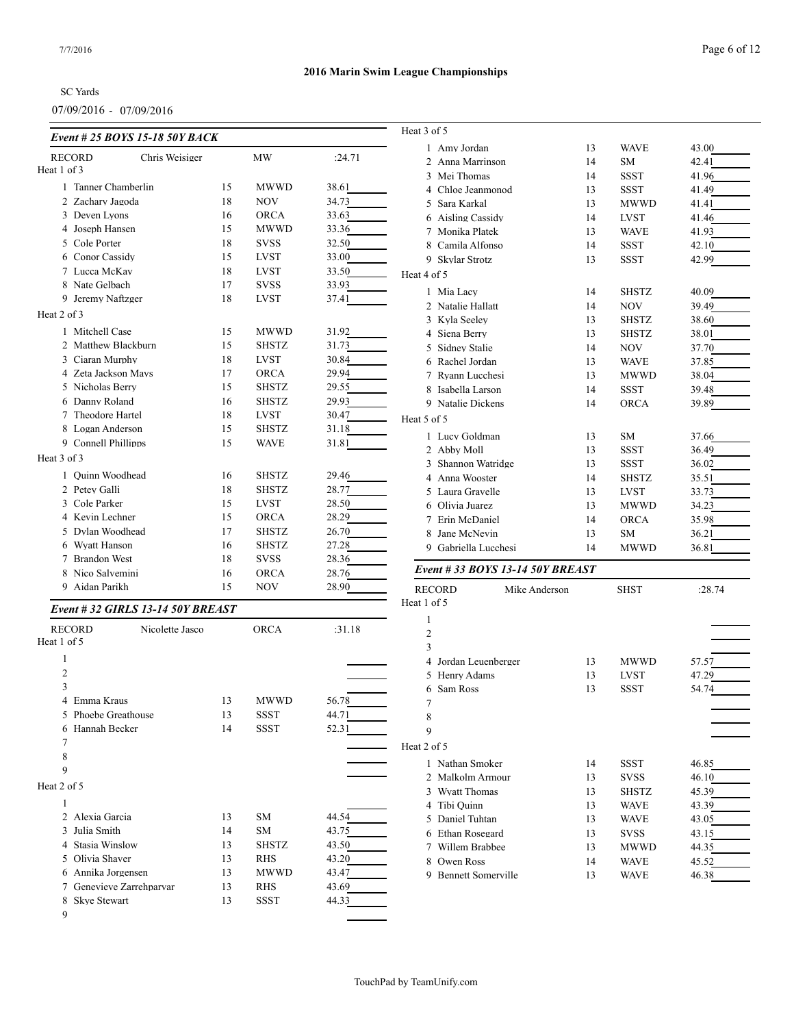#### SC Yards

| Event # 25 BOYS 15-18 50Y BACK          |          |                             |        | Heat 3 of 5                                   |          |                            |                |
|-----------------------------------------|----------|-----------------------------|--------|-----------------------------------------------|----------|----------------------------|----------------|
| Chris Weisiger<br><b>RECORD</b>         |          | <b>MW</b>                   | :24.71 | 1 Amy Jordan                                  | 13       | <b>WAVE</b>                | 43.00          |
| Heat 1 of 3                             |          |                             |        | 2 Anna Marrinson                              | 14       | <b>SM</b>                  | 42.41          |
| 1 Tanner Chamberlin                     | 15       | <b>MWWD</b>                 | 38.61  | 3 Mei Thomas                                  | 14       | <b>SSST</b>                | 41.96          |
| 2 Zachary Jagoda                        | 18       | <b>NOV</b>                  | 34.73  | 4 Chloe Jeanmonod                             | 13       | <b>SSST</b>                | 41.49          |
| 3 Deven Lyons                           | 16       | <b>ORCA</b>                 | 33.63  | 5 Sara Karkal                                 | 13       | <b>MWWD</b>                | 41.41          |
| 4 Joseph Hansen                         | 15       | <b>MWWD</b>                 | 33.36  | 6 Aisling Cassidy                             | 14       | <b>LVST</b>                | 41.46          |
| 5 Cole Porter                           | 18       | <b>SVSS</b>                 | 32.50  | 7 Monika Platek<br>8 Camila Alfonso           | 13<br>14 | <b>WAVE</b><br><b>SSST</b> | 41.93<br>42.10 |
| 6 Conor Cassidy                         | 15       | <b>LVST</b>                 | 33.00  | 9 Skylar Strotz                               | 13       | <b>SSST</b>                | 42.99          |
| 7 Lucca McKay                           | 18       | <b>LVST</b>                 | 33.50  |                                               |          |                            |                |
| 8 Nate Gelbach                          | 17       | <b>SVSS</b>                 | 33.93  | Heat 4 of 5                                   |          |                            |                |
| 9 Jeremy Naftzger                       | 18       | <b>LVST</b>                 | 37.41  | 1 Mia Lacy                                    | 14       | <b>SHSTZ</b>               | 40.09          |
| Heat 2 of 3                             |          |                             |        | 2 Natalie Hallatt                             | 14       | <b>NOV</b>                 | 39.49          |
|                                         |          |                             |        | 3 Kyla Seeley                                 | 13       | <b>SHSTZ</b>               | 38.60          |
| 1 Mitchell Case                         | 15       | <b>MWWD</b>                 | 31.92  | 4 Siena Berry                                 | 13       | <b>SHSTZ</b>               | 38.01          |
| 2 Matthew Blackburn                     | 15       | <b>SHSTZ</b>                | 31.73  | 5 Sidney Stalie                               | 14       | <b>NOV</b>                 | 37.70          |
| 3 Ciaran Murphy                         | 18       | <b>LVST</b>                 | 30.84  | 6 Rachel Jordan                               | 13       | <b>WAVE</b>                | 37.85          |
| 4 Zeta Jackson Mays                     | 17       | <b>ORCA</b>                 | 29.94  | 7 Ryann Lucchesi                              | 13       | <b>MWWD</b>                | 38.04          |
| 5 Nicholas Berry                        | 15       | <b>SHSTZ</b>                | 29.55  | 8 Isabella Larson                             | 14       | <b>SSST</b>                | 39.48          |
| 6 Danny Roland                          | 16       | <b>SHSTZ</b>                | 29.93  | 9 Natalie Dickens                             | 14       | <b>ORCA</b>                | 39.89          |
| 7 Theodore Hartel                       | 18       | <b>LVST</b>                 | 30.47  | Heat 5 of 5                                   |          |                            |                |
| 8 Logan Anderson<br>9 Connell Phillipps | 15<br>15 | <b>SHSTZ</b><br><b>WAVE</b> | 31.18  | 1 Lucy Goldman                                | 13       | SM                         | 37.66          |
|                                         |          |                             | 31.81  | 2 Abby Moll                                   | 13       | <b>SSST</b>                | 36.49          |
| Heat 3 of 3                             |          |                             |        | 3 Shannon Watridge                            | 13       | <b>SSST</b>                | 36.02          |
| Ouinn Woodhead                          | 16       | <b>SHSTZ</b>                | 29.46  | 4 Anna Wooster                                | 14       | <b>SHSTZ</b>               | 35.51          |
| 2 Petev Galli                           | 18       | <b>SHSTZ</b>                | 28.77  | 5 Laura Gravelle                              | 13       | <b>LVST</b>                | 33.73          |
| 3 Cole Parker                           | 15       | <b>LVST</b>                 | 28.50  | 6 Olivia Juarez                               | 13       | <b>MWWD</b>                | 34.23          |
| 4 Kevin Lechner                         | 15       | <b>ORCA</b>                 | 28.29  | 7 Erin McDaniel                               | 14       | <b>ORCA</b>                | 35.98          |
| 5 Dylan Woodhead                        | 17       | <b>SHSTZ</b>                | 26.70  | 8 Jane McNevin                                | 13       | <b>SM</b>                  | 36.21          |
| 6 Wyatt Hanson                          | 16       | <b>SHSTZ</b>                | 27.28  | 9 Gabriella Lucchesi                          | 14       | <b>MWWD</b>                | 36.81          |
| 7 Brandon West                          | 18       | <b>SVSS</b>                 | 28.36  | Event # 33 BOYS 13-14 50Y BREAST              |          |                            |                |
| 8 Nico Salvemini                        | 16       | <b>ORCA</b>                 | 28.76  |                                               |          |                            |                |
| 9 Aidan Parikh                          | 15       | <b>NOV</b>                  | 28.90  | <b>RECORD</b><br>Mike Anderson<br>Heat 1 of 5 |          | <b>SHST</b>                | :28.74         |
| Event #32 GIRLS 13-14 50Y BREAST        |          |                             |        | $\mathbf{1}$                                  |          |                            |                |
| <b>RECORD</b><br>Nicolette Jasco        |          | <b>ORCA</b>                 | :31.18 | $\mathfrak{2}$                                |          |                            |                |
| Heat 1 of 5                             |          |                             |        | 3                                             |          |                            |                |
| -1                                      |          |                             |        | 4 Jordan Leuenberger                          | 13       | <b>MWWD</b>                | 57.57          |
| $\mathfrak{2}$                          |          |                             |        | 5 Henry Adams                                 | 13       | <b>LVST</b>                | 47.29          |
| 3                                       |          |                             |        | 6 Sam Ross                                    | 13       | <b>SSST</b>                | 54.74          |
| 4 Emma Kraus                            | 13       | MWWD                        | 56.78  | 7                                             |          |                            |                |
| 5 Phoebe Greathouse                     | 13       | <b>SSST</b>                 | 44.71  | 8                                             |          |                            |                |
| 6 Hannah Becker                         | 14       | <b>SSST</b>                 | 52.31  | 9                                             |          |                            |                |
| 7                                       |          |                             |        | Heat 2 of 5                                   |          |                            |                |
| 8                                       |          |                             |        | 1 Nathan Smoker                               | 14       | <b>SSST</b>                | 46.85          |
| 9                                       |          |                             |        | 2 Malkolm Armour                              | 13       | <b>SVSS</b>                | 46.10          |
| Heat 2 of 5                             |          |                             |        | 3 Wyatt Thomas                                | 13       | <b>SHSTZ</b>               | 45.39          |
| 1                                       |          |                             |        | 4 Tibi Ouinn                                  | 13       | <b>WAVE</b>                | 43.39          |
| 2 Alexia Garcia                         | 13       | SM                          | 44.54  | 5 Daniel Tuhtan                               | 13       | <b>WAVE</b>                | 43.05          |
| 3 Julia Smith                           | 14       | SM                          | 43.75  | 6 Ethan Rosegard                              | 13       | <b>SVSS</b>                | 43.15          |
| 4 Stasia Winslow                        | 13       | <b>SHSTZ</b>                | 43.50  | 7 Willem Brabbee                              | 13       | <b>MWWD</b>                | 44.35          |
| 5 Olivia Shaver                         | 13       | <b>RHS</b>                  | 43.20  | 8 Owen Ross                                   | 14       | <b>WAVE</b>                | 45.52          |
| 6 Annika Jorgensen                      | 13       | <b>MWWD</b>                 | 43.47  | 9 Bennett Somerville                          | 13       | <b>WAVE</b>                | 46.38          |
| 7 Genevieve Zarrehparvar                | 13       | RHS                         | 43.69  |                                               |          |                            |                |
| 8 Skye Stewart                          | 13       | <b>SSST</b>                 | 44.33  |                                               |          |                            |                |
| 9                                       |          |                             |        |                                               |          |                            |                |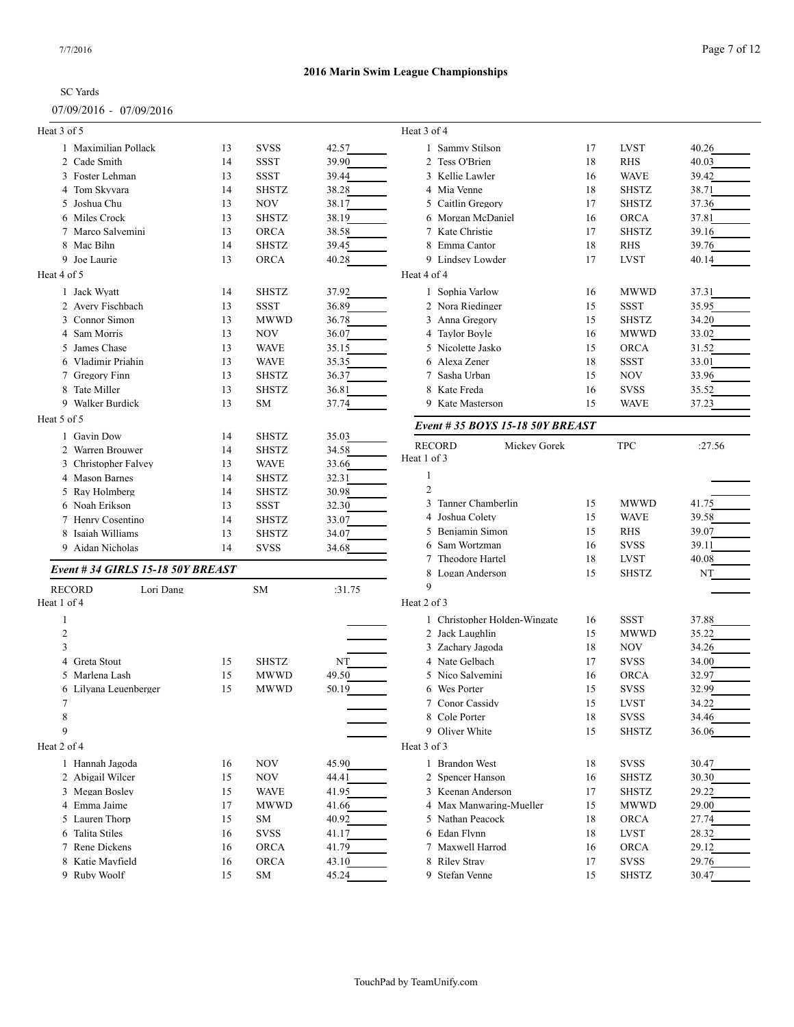#### 07/09/2016 - 07/09/2016

#### **2016 Marin Swim League Championships**

| 011 021 40 I 0<br>0110212010     |    |              |        |                                  |    |              |        |
|----------------------------------|----|--------------|--------|----------------------------------|----|--------------|--------|
| Heat 3 of 5                      |    |              |        | Heat 3 of 4                      |    |              |        |
| 1 Maximilian Pollack             | 13 | <b>SVSS</b>  | 42.57  | 1 Sammy Stilson                  | 17 | <b>LVST</b>  | 40.26  |
| 2 Cade Smith                     | 14 | <b>SSST</b>  | 39.90  | 2 Tess O'Brien                   | 18 | RHS          | 40.03  |
| 3 Foster Lehman                  | 13 | <b>SSST</b>  | 39.44  | 3 Kellie Lawler                  | 16 | <b>WAVE</b>  | 39.42  |
| 4 Tom Skyvara                    | 14 | <b>SHSTZ</b> | 38.28  | 4 Mia Venne                      | 18 | <b>SHSTZ</b> | 38.71  |
| 5 Joshua Chu                     | 13 | <b>NOV</b>   | 38.17  | 5 Caitlin Gregory                | 17 | <b>SHSTZ</b> | 37.36  |
| 6 Miles Crock                    | 13 | <b>SHSTZ</b> | 38.19  | 6 Morgan McDaniel                | 16 | <b>ORCA</b>  | 37.81  |
| 7 Marco Salvemini                | 13 | <b>ORCA</b>  | 38.58  | 7 Kate Christie                  | 17 | <b>SHSTZ</b> | 39.16  |
| 8 Mac Bihn                       | 14 | <b>SHSTZ</b> | 39.45  | 8 Emma Cantor                    | 18 | <b>RHS</b>   | 39.76  |
| 9 Joe Laurie                     | 13 | <b>ORCA</b>  | 40.28  | 9 Lindsey Lowder                 | 17 | <b>LVST</b>  | 40.14  |
| Heat 4 of 5                      |    |              |        | Heat 4 of 4                      |    |              |        |
| 1 Jack Wyatt                     | 14 | <b>SHSTZ</b> | 37.92  | 1 Sophia Varlow                  | 16 | <b>MWWD</b>  | 37.31  |
| 2 Avery Fischbach                | 13 | <b>SSST</b>  | 36.89  | 2 Nora Riedinger                 | 15 | <b>SSST</b>  | 35.95  |
| 3 Connor Simon                   | 13 | <b>MWWD</b>  | 36.78  | 3 Anna Gregory                   | 15 | <b>SHSTZ</b> | 34.20  |
| 4 Sam Morris                     | 13 | <b>NOV</b>   | 36.07  | 4 Taylor Boyle                   | 16 | <b>MWWD</b>  | 33.02  |
| 5 James Chase                    | 13 | <b>WAVE</b>  | 35.15  | 5 Nicolette Jasko                | 15 | <b>ORCA</b>  | 31.52  |
| 6 Vladimir Priahin               | 13 | <b>WAVE</b>  | 35.35  | 6 Alexa Zener                    | 18 | <b>SSST</b>  | 33.01  |
| 7 Gregory Finn                   | 13 | <b>SHSTZ</b> | 36.37  | 7 Sasha Urban                    | 15 | <b>NOV</b>   | 33.96  |
| 8 Tate Miller                    | 13 | <b>SHSTZ</b> | 36.81  | 8 Kate Freda                     | 16 | <b>SVSS</b>  | 35.52  |
| 9 Walker Burdick                 | 13 | SM           | 37.74  | 9 Kate Masterson                 | 15 | <b>WAVE</b>  | 37.23  |
| Heat 5 of 5                      |    |              |        |                                  |    |              |        |
| 1 Gavin Dow                      | 14 | <b>SHSTZ</b> | 35.03  | Event # 35 BOYS 15-18 50Y BREAST |    |              |        |
| 2 Warren Brouwer                 | 14 | <b>SHSTZ</b> | 34.58  | <b>RECORD</b><br>Mickey Gorek    |    | <b>TPC</b>   | :27.56 |
| 3 Christopher Falvey             | 13 | <b>WAVE</b>  | 33.66  | Heat 1 of 3                      |    |              |        |
| 4 Mason Barnes                   | 14 | <b>SHSTZ</b> | 32.31  | 1                                |    |              |        |
| 5 Ray Holmberg                   | 14 | <b>SHSTZ</b> | 30.98  | $\mathfrak{2}$                   |    |              |        |
|                                  |    |              |        | 3 Tanner Chamberlin              | 15 | <b>MWWD</b>  | 41.75  |
| 6 Noah Erikson                   | 13 | <b>SSST</b>  | 32.30  | 4 Joshua Colety                  | 15 | <b>WAVE</b>  | 39.58  |
| 7 Henry Cosentino                | 14 | <b>SHSTZ</b> | 33.07  | 5 Benjamin Simon                 | 15 | <b>RHS</b>   | 39.07  |
| 8 Isaiah Williams                | 13 | <b>SHSTZ</b> | 34.07  | 6 Sam Wortzman                   | 16 | <b>SVSS</b>  | 39.11  |
| 9 Aidan Nicholas                 | 14 | <b>SVSS</b>  | 34.68  | 7 Theodore Hartel                | 18 | <b>LVST</b>  | 40.08  |
| Event #34 GIRLS 15-18 50Y BREAST |    |              |        | 8 Logan Anderson                 | 15 | <b>SHSTZ</b> | NT     |
| <b>RECORD</b><br>Lori Dang       |    | SM           |        | 9                                |    |              |        |
| Heat 1 of 4                      |    |              | :31.75 | Heat 2 of 3                      |    |              |        |
| 1                                |    |              |        | 1 Christopher Holden-Wingate     | 16 | <b>SSST</b>  | 37.88  |
| $\overline{2}$                   |    |              |        | 2 Jack Laughlin                  | 15 | <b>MWWD</b>  | 35.22  |
| 3                                |    |              |        | 3 Zachary Jagoda                 | 18 | <b>NOV</b>   | 34.26  |
| 4 Greta Stout                    | 15 | <b>SHSTZ</b> | NT     | 4 Nate Gelbach                   | 17 | <b>SVSS</b>  | 34.00  |
| 5 Marlena Lash                   | 15 | <b>MWWD</b>  | 49.50  | 5 Nico Salvemini                 | 16 | <b>ORCA</b>  | 32.97  |
| 6 Lilyana Leuenberger            | 15 | <b>MWWD</b>  | 50.19  | 6 Wes Porter                     | 15 | <b>SVSS</b>  | 32.99  |
| 7                                |    |              |        | 7 Conor Cassidy                  | 15 | <b>LVST</b>  | 34.22  |
| 8                                |    |              |        | 8 Cole Porter                    | 18 | <b>SVSS</b>  | 34.46  |
| 9                                |    |              |        | 9 Oliver White                   | 15 | <b>SHSTZ</b> | 36.06  |
|                                  |    |              |        |                                  |    |              |        |
| Heat 2 of 4                      |    |              |        | Heat 3 of 3                      |    |              |        |
| 1 Hannah Jagoda                  | 16 | <b>NOV</b>   | 45.90  | 1 Brandon West                   | 18 | <b>SVSS</b>  | 30.47  |
| 2 Abigail Wilcer                 | 15 | <b>NOV</b>   | 44.41  | 2 Spencer Hanson                 | 16 | <b>SHSTZ</b> | 30.30  |
| 3 Megan Bosley                   | 15 | <b>WAVE</b>  | 41.95  | 3 Keenan Anderson                | 17 | <b>SHSTZ</b> | 29.22  |
| 4 Emma Jaime                     | 17 | <b>MWWD</b>  | 41.66  | 4 Max Manwaring-Mueller          | 15 | <b>MWWD</b>  | 29.00  |
| 5 Lauren Thorp                   | 15 | SM           | 40.92  | 5 Nathan Peacock                 | 18 | <b>ORCA</b>  | 27.74  |
| 6 Talita Stiles                  | 16 | <b>SVSS</b>  | 41.17  | 6 Edan Flynn                     | 18 | <b>LVST</b>  | 28.32  |
| 7 Rene Dickens                   | 16 | ORCA         | 41.79  | 7 Maxwell Harrod                 | 16 | <b>ORCA</b>  | 29.12  |
| 8 Katie Mayfield                 | 16 | <b>ORCA</b>  | 43.10  | 8 Riley Stray                    | 17 | <b>SVSS</b>  | 29.76  |
| 9 Ruby Woolf                     | 15 | SM           | 45.24  | 9 Stefan Venne                   | 15 | <b>SHSTZ</b> | 30.47  |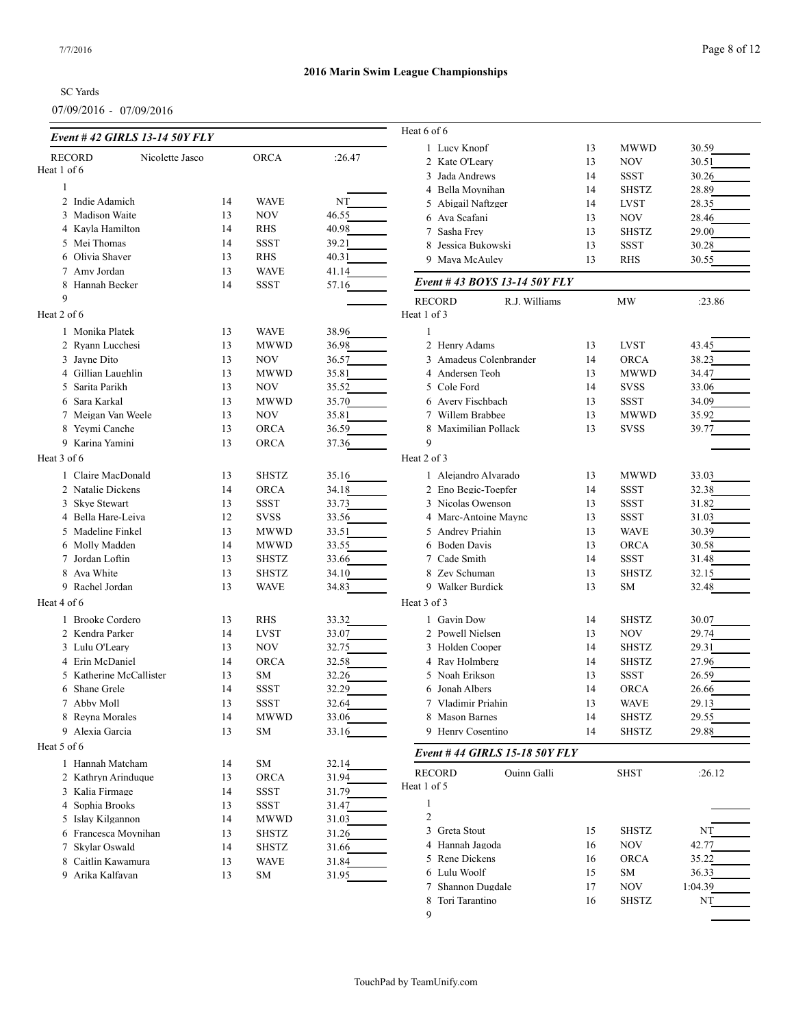#### SC Yards

07/09/2016 - 07/09/2016

| Event # 42 GIRLS 13-14 50Y FLY   |    |               |        | Heat 6 of 6                    |    |              |         |
|----------------------------------|----|---------------|--------|--------------------------------|----|--------------|---------|
|                                  |    |               |        | 1 Lucy Knopf                   | 13 | <b>MWWD</b>  | 30.59   |
| Nicolette Jasco<br><b>RECORD</b> |    | <b>ORCA</b>   | :26.47 | 2 Kate O'Leary                 | 13 | <b>NOV</b>   | 30.51   |
| Heat 1 of 6                      |    |               |        | 3 Jada Andrews                 | 14 | <b>SSST</b>  | 30.26   |
| $\mathbf{1}$                     |    |               |        | 4 Bella Moynihan               | 14 | <b>SHSTZ</b> | 28.89   |
| 2 Indie Adamich                  | 14 | <b>WAVE</b>   | NT     | 5 Abigail Naftzger             | 14 | <b>LVST</b>  | 28.35   |
| 3 Madison Waite                  | 13 | <b>NOV</b>    | 46.55  | 6 Ava Scafani                  | 13 | <b>NOV</b>   | 28.46   |
| 4 Kayla Hamilton                 | 14 | <b>RHS</b>    | 40.98  | 7 Sasha Frey                   | 13 | <b>SHSTZ</b> | 29.00   |
| 5 Mei Thomas                     | 14 | <b>SSST</b>   | 39.21  | 8 Jessica Bukowski             | 13 | <b>SSST</b>  | 30.28   |
| 6 Olivia Shaver                  | 13 | <b>RHS</b>    | 40.31  | 9 Maya McAuley                 | 13 | <b>RHS</b>   | 30.55   |
| 7 Amy Jordan                     | 13 | <b>WAVE</b>   | 41.14  | Event # 43 BOYS 13-14 50Y FLY  |    |              |         |
| 8 Hannah Becker                  | 14 | SSST          | 57.16  |                                |    |              |         |
| 9                                |    |               |        | <b>RECORD</b><br>R.J. Williams |    | MW           | :23.86  |
| Heat 2 of 6                      |    |               |        | Heat 1 of 3                    |    |              |         |
| 1 Monika Platek                  | 13 | <b>WAVE</b>   | 38.96  | $\mathbf{1}$                   |    |              |         |
| 2 Ryann Lucchesi                 | 13 | <b>MWWD</b>   | 36.98  | 2 Henry Adams                  | 13 | <b>LVST</b>  | 43.45   |
| 3 Jayne Dito                     | 13 | <b>NOV</b>    | 36.57  | 3 Amadeus Colenbrander         | 14 | <b>ORCA</b>  | 38.23   |
| 4 Gillian Laughlin               | 13 | <b>MWWD</b>   | 35.81  | 4 Andersen Teoh                | 13 | <b>MWWD</b>  | 34.47   |
| 5 Sarita Parikh                  | 13 | <b>NOV</b>    | 35.52  | 5 Cole Ford                    | 14 | <b>SVSS</b>  | 33.06   |
| 6 Sara Karkal                    | 13 | <b>MWWD</b>   | 35.70  | 6 Avery Fischbach              | 13 | <b>SSST</b>  | 34.09   |
| 7 Meigan Van Weele               | 13 | <b>NOV</b>    | 35.81  | 7 Willem Brabbee               | 13 | <b>MWWD</b>  | 35.92   |
| 8 Yeymi Canche                   | 13 | <b>ORCA</b>   | 36.59  | 8 Maximilian Pollack           | 13 | <b>SVSS</b>  | 39.77   |
| 9 Karina Yamini                  | 13 | <b>ORCA</b>   | 37.36  | 9                              |    |              |         |
| Heat 3 of 6                      |    |               |        | Heat 2 of 3                    |    |              |         |
| Claire MacDonald                 | 13 | <b>SHSTZ</b>  | 35.16  | 1 Alejandro Alvarado           | 13 | <b>MWWD</b>  | 33.03   |
| 2 Natalie Dickens                | 14 | <b>ORCA</b>   | 34.18  | 2 Eno Begic-Toepfer            | 14 | <b>SSST</b>  | 32.38   |
| 3 Skye Stewart                   | 13 | <b>SSST</b>   | 33.73  | 3 Nicolas Owenson              | 13 | <b>SSST</b>  | 31.82   |
| 4 Bella Hare-Leiva               | 12 | <b>SVSS</b>   | 33.56  | 4 Marc-Antoine Maync           | 13 | <b>SSST</b>  | 31.03   |
| 5 Madeline Finkel                | 13 | <b>MWWD</b>   | 33.51  | 5 Andrey Priahin               | 13 | <b>WAVE</b>  | 30.39   |
| 6 Molly Madden                   | 14 | <b>MWWD</b>   | 33.55  | 6 Boden Davis                  | 13 | <b>ORCA</b>  | 30.58   |
| 7 Jordan Loftin                  | 13 | <b>SHSTZ</b>  | 33.66  | 7 Cade Smith                   | 14 | SSST         | 31.48   |
| 8 Ava White                      | 13 | <b>SHSTZ</b>  | 34.10  | 8 Zev Schuman                  | 13 | <b>SHSTZ</b> | 32.15   |
| 9 Rachel Jordan                  | 13 | <b>WAVE</b>   |        | 9 Walker Burdick               | 13 | <b>SM</b>    |         |
|                                  |    |               | 34.83  |                                |    |              | 32.48   |
| Heat 4 of 6                      |    |               |        | Heat 3 of 3                    |    |              |         |
| 1 Brooke Cordero                 | 13 | <b>RHS</b>    | 33.32  | 1 Gavin Dow                    | 14 | <b>SHSTZ</b> | 30.07   |
| 2 Kendra Parker                  | 14 | <b>LVST</b>   | 33.07  | 2 Powell Nielsen               | 13 | <b>NOV</b>   | 29.74   |
| 3 Lulu O'Leary                   | 13 | <b>NOV</b>    | 32.75  | 3 Holden Cooper                | 14 | <b>SHSTZ</b> | 29.31   |
| 4 Erin McDaniel                  | 14 | <b>ORCA</b>   | 32.58  | 4 Ray Holmberg                 | 14 | <b>SHSTZ</b> | 27.96   |
| 5 Katherine McCallister          | 13 | <b>SM</b>     | 32.26  | 5 Noah Erikson                 | 13 | <b>SSST</b>  | 26.59   |
| 6 Shane Grele                    | 14 | <b>SSST</b>   | 32.29  | 6 Jonah Albers                 | 14 | <b>ORCA</b>  | 26.66   |
| 7 Abby Moll                      | 13 | <b>SSST</b>   | 32.64  | 7 Vladimir Priahin             | 13 | <b>WAVE</b>  | 29.13   |
| 8 Reyna Morales                  | 14 | <b>MWWD</b>   | 33.06  | 8 Mason Barnes                 | 14 | <b>SHSTZ</b> | 29.55   |
| 9 Alexia Garcia                  | 13 | <b>SM</b>     | 33.16  | 9 Henry Cosentino              | 14 | <b>SHSTZ</b> | 29.88   |
| Heat 5 of 6                      |    |               |        | Event #44 GIRLS 15-18 50Y FLY  |    |              |         |
| 1 Hannah Matcham                 | 14 | SM            | 32.14  |                                |    |              |         |
| 2 Kathryn Arinduque              | 13 | ORCA          | 31.94  | <b>RECORD</b><br>Ouinn Galli   |    | <b>SHST</b>  | :26.12  |
| 3 Kalia Firmage                  | 14 | $_{\rm SSST}$ | 31.79  | Heat 1 of 5                    |    |              |         |
| 4 Sophia Brooks                  | 13 | SSST          | 31.47  | $\mathbf{1}$                   |    |              |         |
| 5 Islay Kilgannon                | 14 | <b>MWWD</b>   | 31.03  | $\mathfrak{2}$                 |    |              |         |
| 6 Francesca Movnihan             | 13 | SHSTZ         | 31.26  | 3 Greta Stout                  | 15 | <b>SHSTZ</b> | NT      |
| 7 Skylar Oswald                  | 14 | <b>SHSTZ</b>  | 31.66  | 4 Hannah Jagoda                | 16 | <b>NOV</b>   | 42.77   |
| 8 Caitlin Kawamura               | 13 | <b>WAVE</b>   | 31.84  | 5 Rene Dickens                 | 16 | <b>ORCA</b>  | 35.22   |
| 9 Arika Kalfayan                 | 13 | SM            | 31.95  | 6 Lulu Woolf                   | 15 | SM           | 36.33   |
|                                  |    |               |        | 7 Shannon Dugdale              | 17 | <b>NOV</b>   | 1:04.39 |
|                                  |    |               |        | 8 Tori Tarantino               | 16 | SHSTZ        | NT      |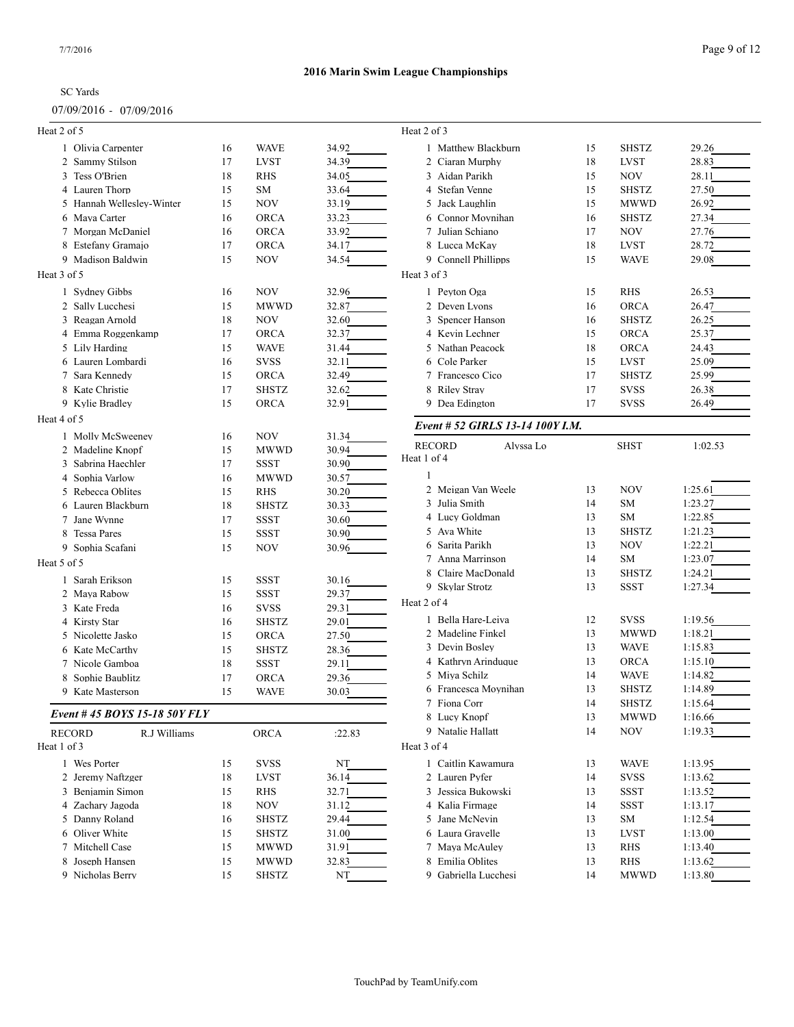#### 07/09/2016 - 07/09/2016

# **2016 Marin Swim League Championships**

| <b>SHSTZ</b><br><b>LVST</b><br><b>NOV</b><br><b>SHSTZ</b><br><b>MWWD</b><br><b>SHSTZ</b><br><b>NOV</b><br><b>LVST</b><br><b>WAVE</b><br><b>RHS</b><br><b>ORCA</b><br><b>SHSTZ</b><br><b>ORCA</b><br><b>ORCA</b><br><b>LVST</b><br><b>SHSTZ</b><br><b>SVSS</b> | 29.26<br>28.83<br>28.11<br>27.50<br>26.92<br>27.34<br>27.76<br>28.72<br>29.08<br>26.53<br>26.47<br>26.25<br>25.37<br>24.43<br>25.09           |
|---------------------------------------------------------------------------------------------------------------------------------------------------------------------------------------------------------------------------------------------------------------|-----------------------------------------------------------------------------------------------------------------------------------------------|
|                                                                                                                                                                                                                                                               |                                                                                                                                               |
|                                                                                                                                                                                                                                                               |                                                                                                                                               |
|                                                                                                                                                                                                                                                               |                                                                                                                                               |
|                                                                                                                                                                                                                                                               |                                                                                                                                               |
|                                                                                                                                                                                                                                                               |                                                                                                                                               |
|                                                                                                                                                                                                                                                               |                                                                                                                                               |
|                                                                                                                                                                                                                                                               |                                                                                                                                               |
|                                                                                                                                                                                                                                                               |                                                                                                                                               |
|                                                                                                                                                                                                                                                               |                                                                                                                                               |
|                                                                                                                                                                                                                                                               |                                                                                                                                               |
|                                                                                                                                                                                                                                                               |                                                                                                                                               |
|                                                                                                                                                                                                                                                               |                                                                                                                                               |
|                                                                                                                                                                                                                                                               |                                                                                                                                               |
|                                                                                                                                                                                                                                                               |                                                                                                                                               |
|                                                                                                                                                                                                                                                               |                                                                                                                                               |
|                                                                                                                                                                                                                                                               |                                                                                                                                               |
|                                                                                                                                                                                                                                                               |                                                                                                                                               |
|                                                                                                                                                                                                                                                               | 25.99                                                                                                                                         |
|                                                                                                                                                                                                                                                               | 26.38                                                                                                                                         |
| <b>SVSS</b>                                                                                                                                                                                                                                                   | 26.49                                                                                                                                         |
|                                                                                                                                                                                                                                                               |                                                                                                                                               |
|                                                                                                                                                                                                                                                               |                                                                                                                                               |
| <b>SHST</b>                                                                                                                                                                                                                                                   | 1:02.53                                                                                                                                       |
|                                                                                                                                                                                                                                                               |                                                                                                                                               |
|                                                                                                                                                                                                                                                               |                                                                                                                                               |
|                                                                                                                                                                                                                                                               | 1:25.61                                                                                                                                       |
|                                                                                                                                                                                                                                                               | 1:23.27                                                                                                                                       |
|                                                                                                                                                                                                                                                               | 1:22.85                                                                                                                                       |
|                                                                                                                                                                                                                                                               | 1:21.23                                                                                                                                       |
|                                                                                                                                                                                                                                                               | 1:22.21                                                                                                                                       |
|                                                                                                                                                                                                                                                               | 1:23.07                                                                                                                                       |
|                                                                                                                                                                                                                                                               | 1:24.21                                                                                                                                       |
|                                                                                                                                                                                                                                                               | 1:27.34                                                                                                                                       |
|                                                                                                                                                                                                                                                               |                                                                                                                                               |
|                                                                                                                                                                                                                                                               |                                                                                                                                               |
| <b>SVSS</b>                                                                                                                                                                                                                                                   | 1:19.56                                                                                                                                       |
| <b>MWWD</b>                                                                                                                                                                                                                                                   | 1:18.21                                                                                                                                       |
| <b>WAVE</b>                                                                                                                                                                                                                                                   | 1:15.83                                                                                                                                       |
| <b>ORCA</b>                                                                                                                                                                                                                                                   | 1:15.10                                                                                                                                       |
| <b>WAVE</b>                                                                                                                                                                                                                                                   | 1:14.82                                                                                                                                       |
| <b>SHSTZ</b>                                                                                                                                                                                                                                                  | 1:14.89                                                                                                                                       |
| <b>SHSTZ</b>                                                                                                                                                                                                                                                  | 1:15.64                                                                                                                                       |
| <b>MWWD</b>                                                                                                                                                                                                                                                   | 1:16.66                                                                                                                                       |
| NOV                                                                                                                                                                                                                                                           | 1:19.33                                                                                                                                       |
|                                                                                                                                                                                                                                                               |                                                                                                                                               |
|                                                                                                                                                                                                                                                               | 1:13.95                                                                                                                                       |
|                                                                                                                                                                                                                                                               | 1:13.62                                                                                                                                       |
|                                                                                                                                                                                                                                                               | 1:13.52                                                                                                                                       |
|                                                                                                                                                                                                                                                               | 1:13.17                                                                                                                                       |
|                                                                                                                                                                                                                                                               | 1:12.54                                                                                                                                       |
| <b>LVST</b>                                                                                                                                                                                                                                                   | 1:13.00                                                                                                                                       |
|                                                                                                                                                                                                                                                               |                                                                                                                                               |
| RHS<br>RHS                                                                                                                                                                                                                                                    | 1:13.40                                                                                                                                       |
|                                                                                                                                                                                                                                                               | 1:13.62                                                                                                                                       |
|                                                                                                                                                                                                                                                               | <b>NOV</b><br>SM<br>SM<br><b>SHSTZ</b><br><b>NOV</b><br>SM<br><b>SHSTZ</b><br><b>SSST</b><br><b>WAVE</b><br><b>SVSS</b><br>SSST<br>SSST<br>SM |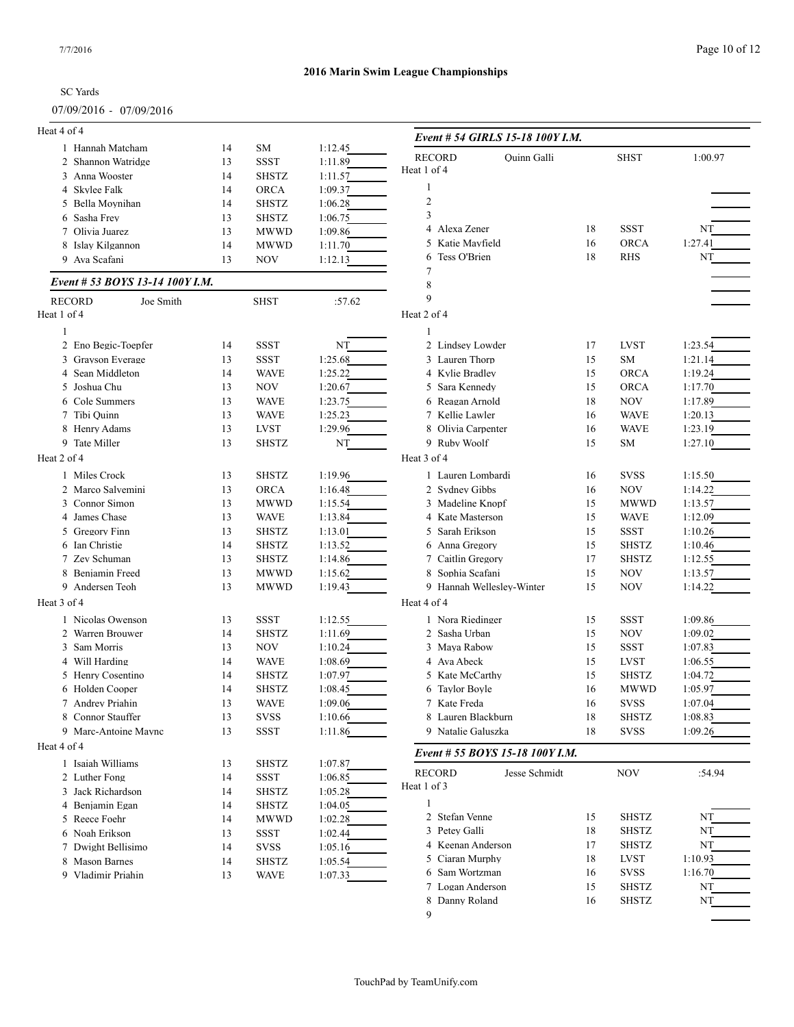#### 07/09/2016 - 07/09/2016

# **2016 Marin Swim League Championships**

| Heat 4 of 4                           |    |              |                    | Event # 54 GIRLS 15-18 100Y I.M.    |    |              |         |
|---------------------------------------|----|--------------|--------------------|-------------------------------------|----|--------------|---------|
| 1 Hannah Matcham                      | 14 | <b>SM</b>    | 1:12.45            |                                     |    |              |         |
| 2 Shannon Watridge                    | 13 | <b>SSST</b>  | 1:11.89            | <b>RECORD</b><br><b>Ouinn Galli</b> |    | <b>SHST</b>  | 1:00.97 |
| 3 Anna Wooster                        | 14 | <b>SHSTZ</b> | 1:11.57            | Heat 1 of 4                         |    |              |         |
| 4 Skylee Falk                         | 14 | ORCA         | 1:09.37            | -1                                  |    |              |         |
| 5 Bella Moynihan                      | 14 | <b>SHSTZ</b> | 1:06.28            | $\sqrt{2}$                          |    |              |         |
| 6 Sasha Frev                          | 13 | <b>SHSTZ</b> | 1:06.75            | 3                                   |    |              |         |
| 7 Olivia Juarez                       | 13 | <b>MWWD</b>  | 1:09.86            | 4 Alexa Zener                       | 18 | <b>SSST</b>  | NT      |
| 8 Islay Kilgannon                     | 14 | <b>MWWD</b>  | 1:11.70            | 5 Katie Mayfield                    | 16 | <b>ORCA</b>  | 1:27.41 |
| 9 Ava Scafani                         | 13 | <b>NOV</b>   | 1:12.13            | 6 Tess O'Brien                      | 18 | <b>RHS</b>   | NT      |
| Event # 53 BOYS 13-14 100Y I.M.       |    |              |                    | 7<br>8                              |    |              |         |
| Joe Smith<br><b>RECORD</b>            |    | <b>SHST</b>  | :57.62             | 9                                   |    |              |         |
| Heat 1 of 4                           |    |              |                    | Heat 2 of 4                         |    |              |         |
|                                       |    |              |                    |                                     |    |              |         |
| 2 Eno Begic-Toepfer                   | 14 | <b>SSST</b>  | NT                 | 2 Lindsey Lowder                    | 17 | <b>LVST</b>  | 1:23.54 |
|                                       |    |              |                    |                                     |    |              |         |
| 3 Grayson Everage<br>4 Sean Middleton | 13 | SSST         | 1:25.68<br>1:25.22 | 3 Lauren Thorp                      | 15 | <b>SM</b>    | 1:21.14 |
|                                       | 14 | <b>WAVE</b>  |                    | 4 Kylie Bradley<br>5 Sara Kennedy   | 15 | <b>ORCA</b>  | 1:19.24 |
| 5 Joshua Chu                          | 13 | <b>NOV</b>   | 1:20.67            |                                     | 15 | <b>ORCA</b>  | 1:17.70 |
| 6 Cole Summers                        | 13 | <b>WAVE</b>  | 1:23.75            | 6 Reagan Arnold                     | 18 | NOV          | 1:17.89 |
| 7 Tibi Quinn                          | 13 | <b>WAVE</b>  | 1:25.23            | 7 Kellie Lawler                     | 16 | <b>WAVE</b>  | 1:20.13 |
| 8 Henry Adams                         | 13 | <b>LVST</b>  | 1:29.96            | 8 Olivia Carpenter                  | 16 | <b>WAVE</b>  | 1:23.19 |
| 9 Tate Miller                         | 13 | <b>SHSTZ</b> | NT                 | 9 Ruby Woolf                        | 15 | SM           | 1:27.10 |
| Heat 2 of 4                           |    |              |                    | Heat 3 of 4                         |    |              |         |
| 1 Miles Crock                         | 13 | <b>SHSTZ</b> | 1:19.96            | 1 Lauren Lombardi                   | 16 | <b>SVSS</b>  | 1:15.50 |
| 2 Marco Salvemini                     | 13 | <b>ORCA</b>  | 1:16.48            | 2 Sydney Gibbs                      | 16 | <b>NOV</b>   | 1:14.22 |
| 3 Connor Simon                        | 13 | <b>MWWD</b>  | 1:15.54            | 3 Madeline Knopf                    | 15 | <b>MWWD</b>  | 1:13.57 |
| 4 James Chase                         | 13 | <b>WAVE</b>  | 1:13.84            | 4 Kate Masterson                    | 15 | <b>WAVE</b>  | 1:12.09 |
| 5 Gregory Finn                        | 13 | <b>SHSTZ</b> | 1:13.01            | 5 Sarah Erikson                     | 15 | <b>SSST</b>  | 1:10.26 |
| 6 Ian Christie                        | 14 | <b>SHSTZ</b> | 1:13.52            | 6 Anna Gregory                      | 15 | <b>SHSTZ</b> | 1:10.46 |
| 7 Zev Schuman                         | 13 | <b>SHSTZ</b> | 1:14.86            | 7 Caitlin Gregory                   | 17 | <b>SHSTZ</b> | 1:12.55 |
| 8 Benjamin Freed                      | 13 | <b>MWWD</b>  | 1:15.62            | 8 Sophia Scafani                    | 15 | <b>NOV</b>   | 1:13.57 |
| 9 Andersen Teoh                       | 13 | <b>MWWD</b>  | 1:19.43            | 9 Hannah Wellesley-Winter           | 15 | <b>NOV</b>   | 1:14.22 |
| Heat 3 of 4                           |    |              |                    | Heat 4 of 4                         |    |              |         |
| 1 Nicolas Owenson                     | 13 | <b>SSST</b>  | 1:12.55            | 1 Nora Riedinger                    | 15 | <b>SSST</b>  | 1:09.86 |
| 2 Warren Brouwer                      | 14 | <b>SHSTZ</b> | 1:11.69            | 2 Sasha Urban                       | 15 | <b>NOV</b>   | 1:09.02 |
| 3 Sam Morris                          | 13 | NOV          | 1:10.24            | 3 Maya Rabow                        | 15 | <b>SSST</b>  | 1:07.83 |
| 4 Will Harding                        | 14 | <b>WAVE</b>  | 1:08.69            | 4 Ava Abeck                         | 15 | <b>LVST</b>  | 1:06.55 |
| 5 Henry Cosentino                     | 14 | <b>SHSTZ</b> | 1:07.97            | 5 Kate McCarthy                     | 15 | <b>SHSTZ</b> | 1:04.72 |
| 6 Holden Cooper                       | 14 | <b>SHSTZ</b> | 1:08.45            | 6 Taylor Boyle                      | 16 | <b>MWWD</b>  | 1:05.97 |
| 7 Andrey Priahin                      | 13 | WAVE         | 1:09.06            | 7 Kate Freda                        | 16 | <b>SVSS</b>  | 1:07.04 |
| 8 Connor Stauffer                     | 13 | <b>SVSS</b>  | 1:10.66            | 8 Lauren Blackburn                  | 18 | <b>SHSTZ</b> | 1:08.83 |
| 9 Marc-Antoine Maync                  | 13 | SSST         | 1:11.86            | 9 Natalie Galuszka                  | 18 | <b>SVSS</b>  | 1:09.26 |
|                                       |    |              |                    |                                     |    |              |         |
| Heat 4 of 4                           |    |              |                    | Event # 55 BOYS 15-18 100Y I.M.     |    |              |         |
| 1 Isaiah Williams                     | 13 | SHSTZ        | 1:07.87            | Jesse Schmidt<br><b>RECORD</b>      |    | NOV          | :54.94  |
| 2 Luther Fong                         | 14 | SSST         | 1:06.85            | Heat 1 of 3                         |    |              |         |
| 3 Jack Richardson                     | 14 | SHSTZ        | 1:05.28            |                                     |    |              |         |
| 4 Benjamin Egan                       | 14 | <b>SHSTZ</b> | 1:04.05            | -1                                  |    |              |         |
| 5 Reece Foehr                         | 14 | <b>MWWD</b>  | 1:02.28            | 2 Stefan Venne                      | 15 | SHSTZ        | NT      |
| 6 Noah Erikson                        | 13 | SSST         | 1:02.44            | 3 Petey Galli                       | 18 | <b>SHSTZ</b> | NT      |
| 7 Dwight Bellisimo                    | 14 | <b>SVSS</b>  | 1:05.16            | 4 Keenan Anderson                   | 17 | <b>SHSTZ</b> | NT      |
| 8 Mason Barnes                        | 14 | SHSTZ        | 1:05.54            | 5 Ciaran Murphy                     | 18 | <b>LVST</b>  | 1:10.93 |
| 9 Vladimir Priahin                    | 13 | <b>WAVE</b>  | 1:07.33            | 6 Sam Wortzman                      | 16 | <b>SVSS</b>  | 1:16.70 |
|                                       |    |              |                    | 7 Logan Anderson                    | 15 | SHSTZ        | NT      |
|                                       |    |              |                    | 8 Danny Roland                      | 16 | <b>SHSTZ</b> | NT      |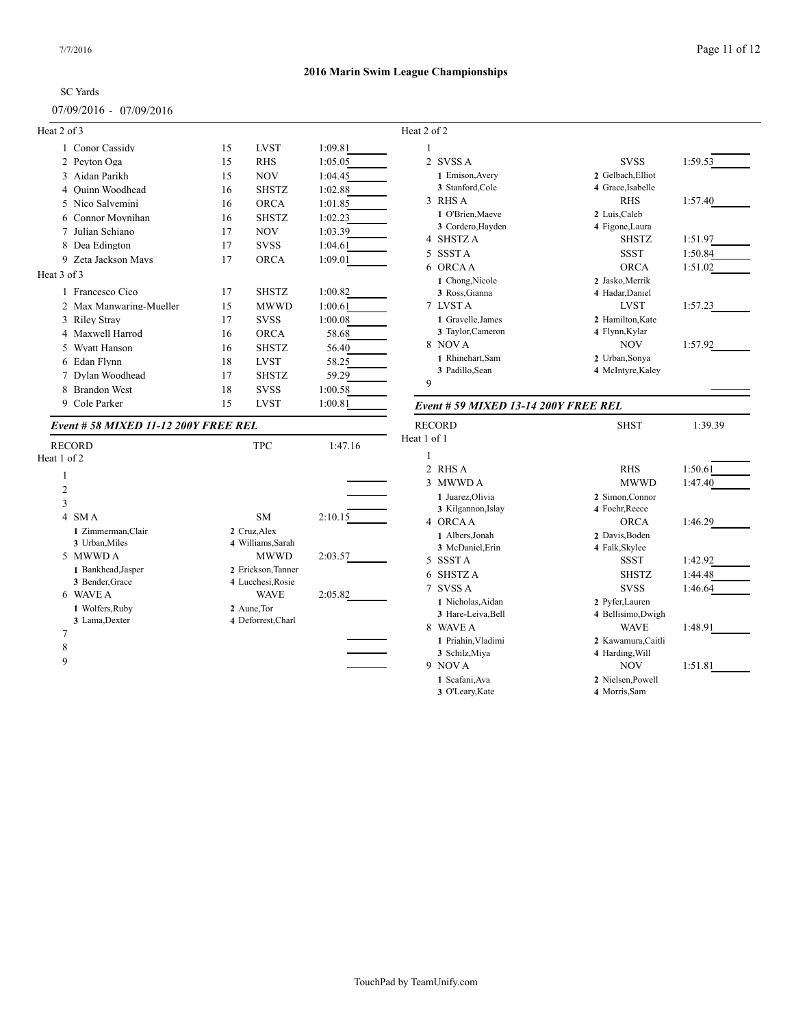# **2016 Marin Swim League Championships**

| $07/09/2016 - 07/09/2016$ |  |  |
|---------------------------|--|--|
| Heat 2 of $3$             |  |  |

|             | Conor Cassidy<br>1          | 15 | <b>LVST</b>  | 1:09.81 |
|-------------|-----------------------------|----|--------------|---------|
|             | Peyton Oga<br>$\mathcal{L}$ | 15 | <b>RHS</b>   | 1:05.05 |
|             | Aidan Parikh<br>3           | 15 | <b>NOV</b>   | 1:04.45 |
|             | Ouinn Woodhead<br>4         | 16 | <b>SHSTZ</b> | 1:02.88 |
|             | Nico Salvemini<br>5         | 16 | <b>ORCA</b>  | 1:01.85 |
|             | Connor Movnihan<br>6        | 16 | <b>SHSTZ</b> | 1:02.23 |
|             | Julian Schiano<br>7         | 17 | <b>NOV</b>   | 1:03.39 |
|             | Dea Edington<br>8           | 17 | <b>SVSS</b>  | 1:04.61 |
|             | Zeta Jackson Mays<br>9      | 17 | <b>ORCA</b>  | 1:09.01 |
| Heat 3 of 3 |                             |    |              |         |
|             | Francesco Cico<br>1         | 17 | <b>SHSTZ</b> | 1:00.82 |
|             | 2 Max Manwaring-Mueller     | 15 | <b>MWWD</b>  | 1:00.61 |
|             | Riley Stray<br>3            | 17 | <b>SVSS</b>  | 1:00.08 |
|             | Maxwell Harrod<br>4         | 16 | ORCA         | 58.68   |
|             | <b>Wyatt Hanson</b><br>5    | 16 | <b>SHSTZ</b> | 56.40   |
|             | Edan Flynn<br>6             | 18 | <b>LVST</b>  | 58.25   |
|             | Dylan Woodhead              | 17 | <b>SHSTZ</b> | 59.29   |
|             | <b>Brandon West</b><br>8    | 18 | <b>SVSS</b>  | 1:00.58 |
|             | Cole Parker<br>9            | 15 | <b>LVST</b>  | 1:00.81 |

#### *Event # 58 MIXED 11-12 200Y FREE REL*

| <b>RECORD</b>          | <b>TPC</b>         | 1:47.16 | Heat 1 of 1        |
|------------------------|--------------------|---------|--------------------|
| Heat 1 of 2            |                    |         | 1                  |
| 1                      |                    |         | 2 RHS              |
|                        |                    |         | $3$ MW             |
| $\overline{2}$         |                    |         | 1 Jua              |
| 3                      |                    |         | 3 Kil              |
| SM A<br>$\overline{4}$ | SM                 | 2:10.15 | 4 ORC              |
| 1 Zimmerman, Clair     | 2 Cruz, Alex       |         | 1 Alb              |
| 3 Urban, Miles         | 4 Williams, Sarah  |         | $3$ Mc             |
| <b>MWWDA</b><br>5      | <b>MWWD</b>        | 2:03.57 | 5 SSS <sub>1</sub> |
| 1 Bankhead, Jasper     | 2 Erickson, Tanner |         | SHS.<br>6          |
| 3 Bender, Grace        | 4 Lucchesi, Rosie  |         | SVS:               |
| <b>WAVE A</b><br>6     | WAVE               | 2:05.82 |                    |
| 1 Wolfers, Ruby        | 2 Aune, Tor        |         | 1 Nic              |
| 3 Lama, Dexter         | 4 Deforrest, Charl |         | 3 Har              |
| 7                      |                    |         | <b>WAV</b><br>8    |
| 8                      |                    |         | 1 Pria             |
| 9                      |                    |         | 3 Sch              |
|                        |                    |         | 9 NOV              |

| Heat 2 of 2    |                   |                   |         |
|----------------|-------------------|-------------------|---------|
| 1              |                   |                   |         |
| $\mathfrak{D}$ | SVSS A            | <b>SVSS</b>       | 1:59.53 |
|                | 1 Emison, Avery   | 2 Gelbach, Elliot |         |
|                | 3 Stanford, Cole  | 4 Grace, Isabelle |         |
| 3 RHS A        |                   | <b>RHS</b>        | 1:57.40 |
|                | 1 O'Brien, Maeve  | 2 Luis, Caleb     |         |
|                | 3 Cordero, Hayden | 4 Figone, Laura   |         |
| 4              | SHSTZ A           | <b>SHSTZ</b>      | 1:51.97 |
| 5              | SSST A            | <b>SSST</b>       | 1:50.84 |
| 6              | <b>ORCAA</b>      | <b>ORCA</b>       | 1:51.02 |
|                | 1 Chong, Nicole   | 2 Jasko, Merrik   |         |
|                | 3 Ross, Gianna    | 4 Hadar, Daniel   |         |
| 7 LVST A       |                   | <b>LVST</b>       | 1:57.23 |
|                | 1 Gravelle, James | 2 Hamilton, Kate  |         |
|                | 3 Taylor, Cameron | 4 Flynn, Kylar    |         |
| 8 NOVA         |                   | <b>NOV</b>        | 1:57.92 |
|                | 1 Rhinehart, Sam  | 2 Urban, Sonya    |         |
|                | 3 Padillo, Sean   | 4 McIntyre, Kaley |         |
| 9              |                   |                   |         |

#### *Event # 59 MIXED 13-14 200Y FREE REL*

|                | <b>RECORD</b>      | <b>SHST</b>        | 1:39.39 |
|----------------|--------------------|--------------------|---------|
| Heat 1 of 1    |                    |                    |         |
| 1              |                    |                    |         |
| $\mathfrak{D}$ | RHS A              | <b>RHS</b>         | 1:50.61 |
| 3              | <b>MWWD A</b>      | <b>MWWD</b>        | 1:47.40 |
|                | 1 Juarez, Olivia   | 2 Simon, Connor    |         |
|                | 3 Kilgannon, Islay | 4 Foehr, Reece     |         |
| 4              | ORCA A             | <b>ORCA</b>        | 1:46.29 |
|                | 1 Albers, Jonah    | 2 Davis, Boden     |         |
|                | 3 McDaniel, Erin   | 4 Falk, Skylee     |         |
| 5              | <b>SSSTA</b>       | SSST               | 1:42.92 |
| 6              | <b>SHSTZA</b>      | <b>SHSTZ</b>       | 1:44.48 |
|                | 7 SVSS A           | <b>SVSS</b>        | 1:46.64 |
|                | 1 Nicholas, Aidan  | 2 Pyfer, Lauren    |         |
|                | 3 Hare-Leiva, Bell | 4 Bellisimo, Dwigh |         |
| 8              | WAVE A             | <b>WAVE</b>        | 1:48.91 |
|                | 1 Priahin, Vladimi | 2 Kawamura, Caitli |         |
|                | 3 Schilz, Miya     | 4 Harding, Will    |         |
|                | 9 NOVA             | <b>NOV</b>         | 1:51.81 |
|                | 1 Scafani, Ava     | 2 Nielsen, Powell  |         |
|                | 3 O'Leary, Kate    | 4 Morris, Sam      |         |
|                |                    |                    |         |